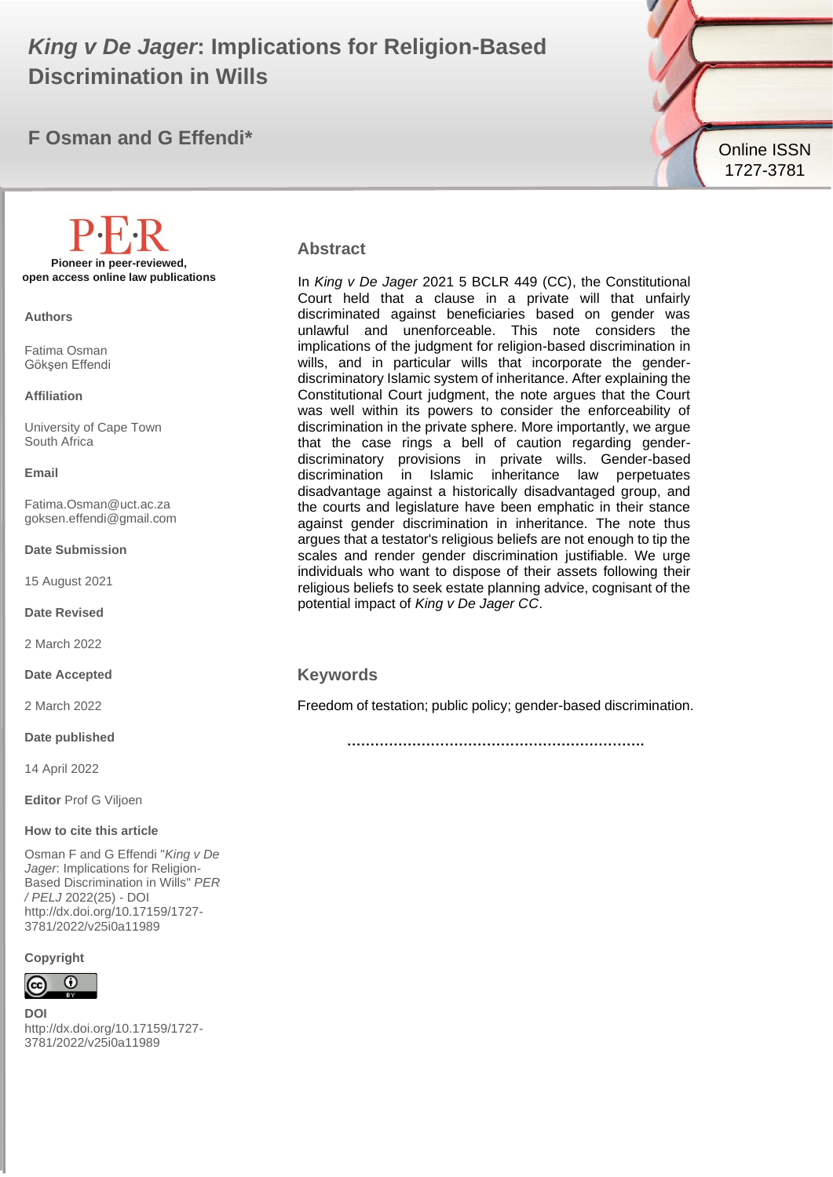# **King v De Jager: Implications for Religion-Based Discrimination in Wills**

# **F Osman and G Effendi\***



#### **Abstract**

In *King v De Jager* 2021 5 BCLR 449 (CC), the Constitutional Court held that a clause in a private will that unfairly discriminated against beneficiaries based on gender was unlawful and unenforceable. This note considers the implications of the judgment for religion-based discrimination in wills, and in particular wills that incorporate the genderdiscriminatory Islamic system of inheritance. After explaining the Constitutional Court judgment, the note argues that the Court was well within its powers to consider the enforceability of discrimination in the private sphere. More importantly, we argue that the case rings a bell of caution regarding genderdiscriminatory provisions in private wills. Gender-based discrimination in Islamic inheritance law perpetuates disadvantage against a historically disadvantaged group, and the courts and legislature have been emphatic in their stance against gender discrimination in inheritance. The note thus argues that a testator's religious beliefs are not enough to tip the scales and render gender discrimination justifiable. We urge individuals who want to dispose of their assets following their religious beliefs to seek estate planning advice, cognisant of the potential impact of *King v De Jager CC*.

#### **Keywords**

Freedom of testation; public policy; gender-based discrimination.

**……………………………………………………….**

**Pioneer in peer-reviewed, open access online law publications**

**Authors**

Fatima Osman Gökşen Effendi

#### **Affiliation**

University of Cape Town South Africa

#### **Email**

Fatima.Osman@uct.ac.za goksen.effendi@gmail.com

**Date Submission**

15 August 2021

**Date Revised**

2 March 2022

**Date Accepted**

2 March 2022

**Date published**

14 April 2022

**Editor** Prof G Viljoen

#### **How to cite this article**

Osman F and G Effendi "*King v De Jager*: Implications for Religion-Based Discrimination in Wills" *PER / PELJ* 2022(25) - DOI http://dx.doi.org/10.17159/1727- 3781/2022/v25i0a11989

**Copyright**



**DOI**  http://dx.doi.org/10.17159/1727- 3781/2022/v25i0a11989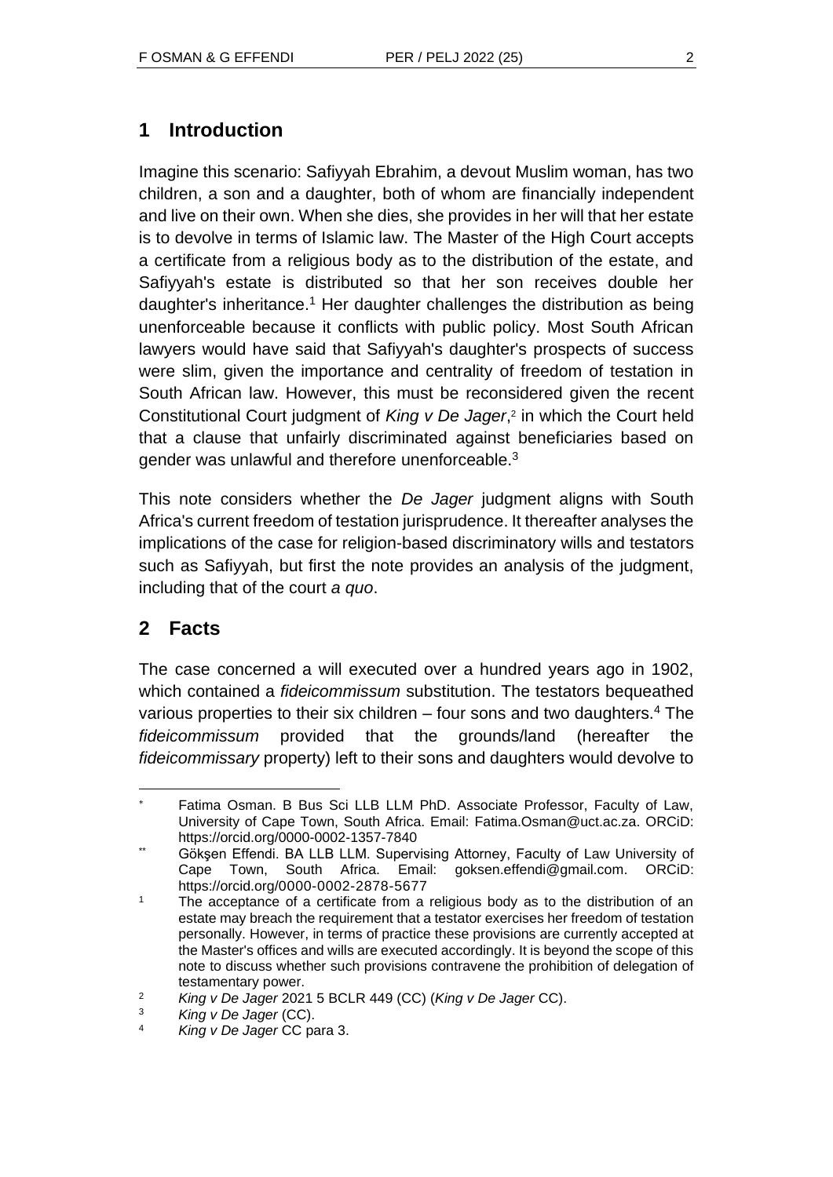## **1 Introduction**

Imagine this scenario: Safiyyah Ebrahim, a devout Muslim woman, has two children, a son and a daughter, both of whom are financially independent and live on their own. When she dies, she provides in her will that her estate is to devolve in terms of Islamic law. The Master of the High Court accepts a certificate from a religious body as to the distribution of the estate, and Safiyyah's estate is distributed so that her son receives double her daughter's inheritance.<sup>1</sup> Her daughter challenges the distribution as being unenforceable because it conflicts with public policy. Most South African lawyers would have said that Safiyyah's daughter's prospects of success were slim, given the importance and centrality of freedom of testation in South African law. However, this must be reconsidered given the recent Constitutional Court judgment of *King v De Jager*, 2 in which the Court held that a clause that unfairly discriminated against beneficiaries based on gender was unlawful and therefore unenforceable.<sup>3</sup>

This note considers whether the *De Jager* judgment aligns with South Africa's current freedom of testation jurisprudence. It thereafter analyses the implications of the case for religion-based discriminatory wills and testators such as Safiyyah, but first the note provides an analysis of the judgment, including that of the court *a quo*.

# **2 Facts**

The case concerned a will executed over a hundred years ago in 1902, which contained a *fideicommissum* substitution. The testators bequeathed various properties to their six children  $-$  four sons and two daughters.<sup>4</sup> The *fideicommissum* provided that the grounds/land (hereafter the *fideicommissary* property) left to their sons and daughters would devolve to

Fatima Osman. B Bus Sci LLB LLM PhD. Associate Professor, Faculty of Law, University of Cape Town, South Africa. Email: Fatima.Osman@uct.ac.za. ORCiD: https://orcid.org/0000-0002-1357-7840

Gökşen Effendi. BA LLB LLM. Supervising Attorney, Faculty of Law University of Cape Town, South Africa. Email: goksen.effendi@gmail.com. ORCiD: https://orcid.org/0000-0002-2878-5677

<sup>1</sup> The acceptance of a certificate from a religious body as to the distribution of an estate may breach the requirement that a testator exercises her freedom of testation personally. However, in terms of practice these provisions are currently accepted at the Master's offices and wills are executed accordingly. It is beyond the scope of this note to discuss whether such provisions contravene the prohibition of delegation of testamentary power.

<sup>2</sup> *King v De Jager* 2021 5 BCLR 449 (CC) (*King v De Jager* CC).

<sup>3</sup> *King v De Jager* (CC).

<sup>4</sup> *King v De Jager* CC para 3.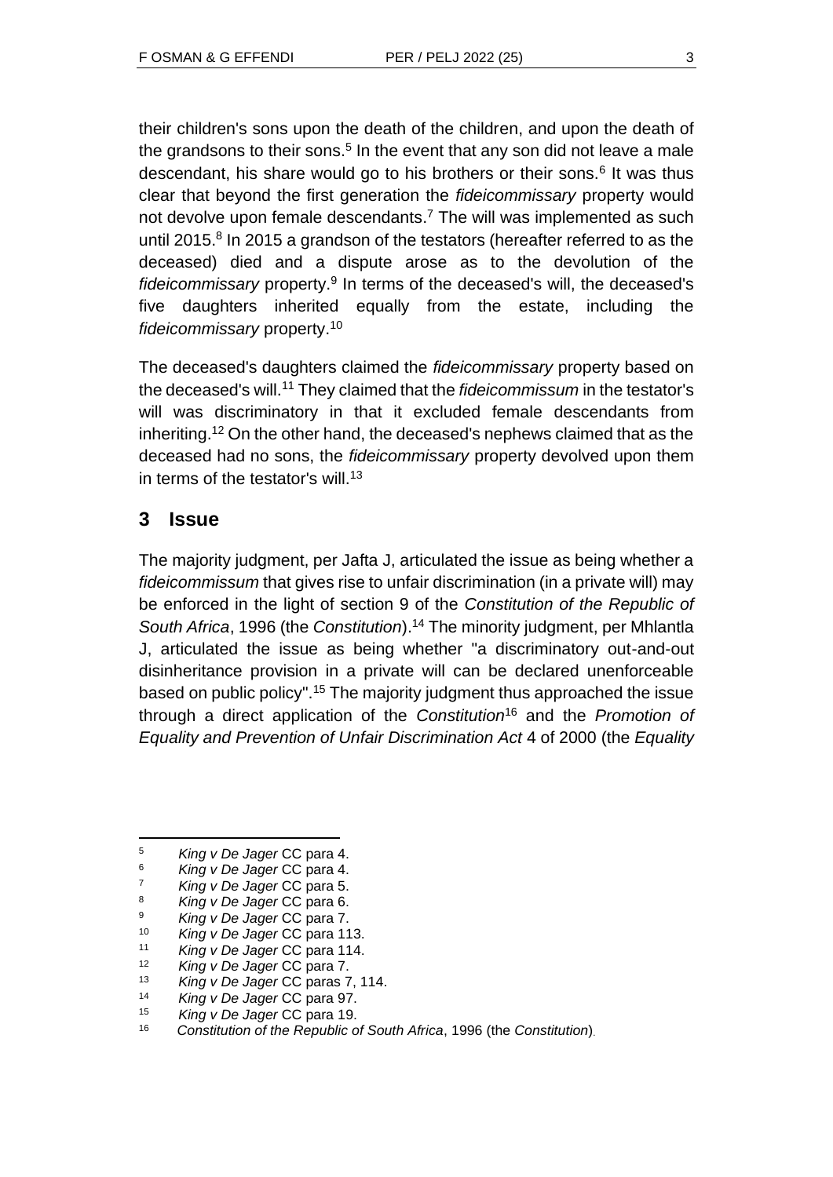their children's sons upon the death of the children, and upon the death of the grandsons to their sons.<sup>5</sup> In the event that any son did not leave a male descendant, his share would go to his brothers or their sons.<sup>6</sup> It was thus clear that beyond the first generation the *fideicommissary* property would not devolve upon female descendants.<sup>7</sup> The will was implemented as such until 2015.<sup>8</sup> In 2015 a grandson of the testators (hereafter referred to as the deceased) died and a dispute arose as to the devolution of the fideicommissary property.<sup>9</sup> In terms of the deceased's will, the deceased's five daughters inherited equally from the estate, including the *fideicommissary* property.<sup>10</sup>

The deceased's daughters claimed the *fideicommissary* property based on the deceased's will.<sup>11</sup> They claimed that the *fideicommissum* in the testator's will was discriminatory in that it excluded female descendants from inheriting.<sup>12</sup> On the other hand, the deceased's nephews claimed that as the deceased had no sons, the *fideicommissary* property devolved upon them in terms of the testator's will.<sup>13</sup>

## **3 Issue**

The majority judgment, per Jafta J, articulated the issue as being whether a *fideicommissum* that gives rise to unfair discrimination (in a private will) may be enforced in the light of section 9 of the *Constitution of the Republic of South Africa*, 1996 (the *Constitution*).<sup>14</sup> The minority judgment, per Mhlantla J, articulated the issue as being whether "a discriminatory out-and-out disinheritance provision in a private will can be declared unenforceable based on public policy".<sup>15</sup> The majority judgment thus approached the issue through a direct application of the *Constitution*<sup>16</sup> and the *Promotion of Equality and Prevention of Unfair Discrimination Act* 4 of 2000 (the *Equality* 

<sup>5</sup> *King v De Jager* CC para 4.

<sup>6</sup> *King v De Jager* CC para 4.

<sup>7</sup> *King v De Jager* CC para 5.

<sup>8</sup> *King v De Jager* CC para 6.

<sup>9</sup> *King v De Jager* CC para 7.

<sup>10</sup> *King v De Jager* CC para 113.

<sup>11</sup> *King v De Jager* CC para 114.

<sup>12</sup> *King v De Jager* CC para 7.

<sup>13</sup> *King v De Jager* CC paras 7, 114.

<sup>14</sup> *King v De Jager* CC para 97.

<sup>15</sup> *King v De Jager* CC para 19.

<sup>16</sup> *Constitution of the Republic of South Africa*, 1996 (the *Constitution*).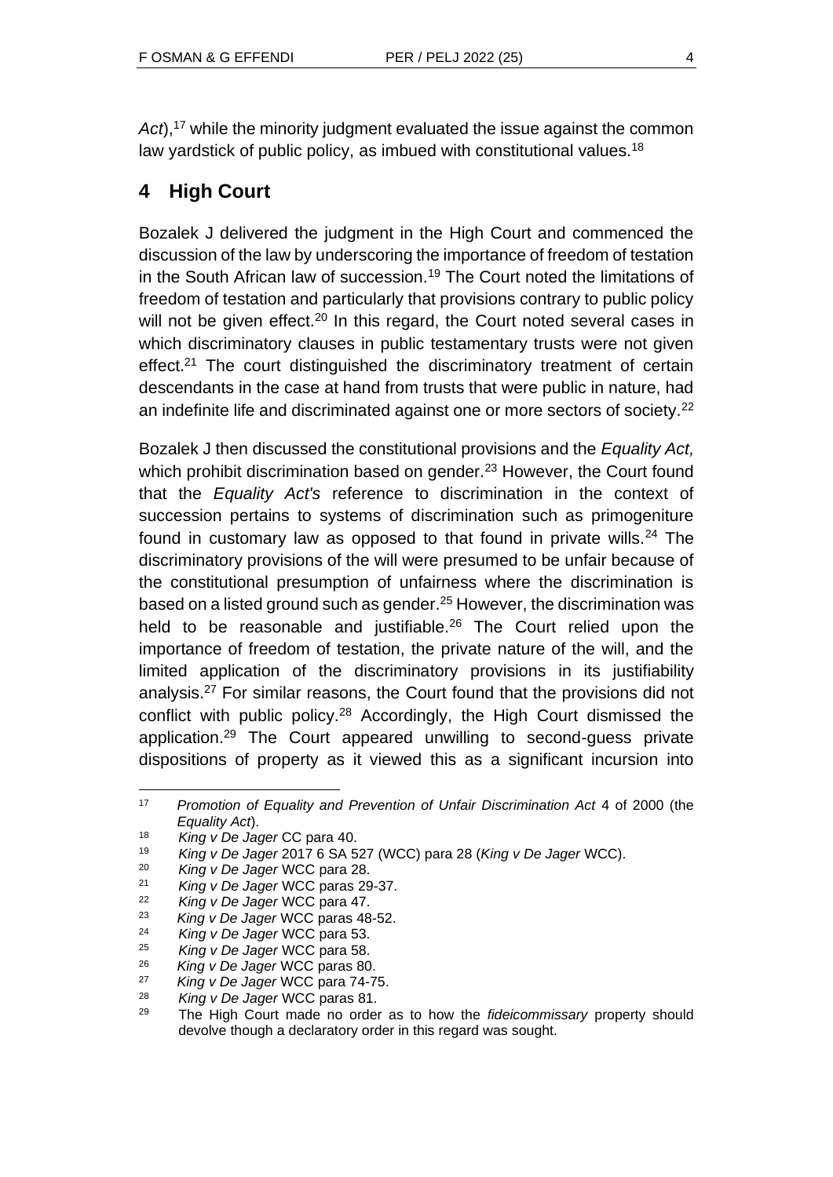*Act*), <sup>17</sup> while the minority judgment evaluated the issue against the common law yardstick of public policy, as imbued with constitutional values.<sup>18</sup>

# **4 High Court**

Bozalek J delivered the judgment in the High Court and commenced the discussion of the law by underscoring the importance of freedom of testation in the South African law of succession.<sup>19</sup> The Court noted the limitations of freedom of testation and particularly that provisions contrary to public policy will not be given effect.<sup>20</sup> In this regard, the Court noted several cases in which discriminatory clauses in public testamentary trusts were not given effect.<sup>21</sup> The court distinguished the discriminatory treatment of certain descendants in the case at hand from trusts that were public in nature, had an indefinite life and discriminated against one or more sectors of society.<sup>22</sup>

Bozalek J then discussed the constitutional provisions and the *Equality Act,* which prohibit discrimination based on gender.<sup>23</sup> However, the Court found that the *Equality Act's* reference to discrimination in the context of succession pertains to systems of discrimination such as primogeniture found in customary law as opposed to that found in private wills. $24$  The discriminatory provisions of the will were presumed to be unfair because of the constitutional presumption of unfairness where the discrimination is based on a listed ground such as gender.<sup>25</sup> However, the discrimination was held to be reasonable and justifiable.<sup>26</sup> The Court relied upon the importance of freedom of testation, the private nature of the will, and the limited application of the discriminatory provisions in its justifiability analysis.<sup>27</sup> For similar reasons, the Court found that the provisions did not conflict with public policy.<sup>28</sup> Accordingly, the High Court dismissed the application.<sup>29</sup> The Court appeared unwilling to second-guess private dispositions of property as it viewed this as a significant incursion into

<sup>17</sup> *Promotion of Equality and Prevention of Unfair Discrimination Act* 4 of 2000 (the *Equality Act*).

<sup>18</sup> *King v De Jager* CC para 40.

<sup>19</sup> *King v De Jager* 2017 6 SA 527 (WCC) para 28 (*King v De Jager* WCC).

<sup>20</sup> *King v De Jager* WCC para 28.

<sup>21</sup> *King v De Jager* WCC paras 29-37.

<sup>22</sup> *King v De Jager* WCC para 47.

<sup>23</sup> *King v De Jager* WCC paras 48-52.

**King v De Jager WCC para 53.** 

<sup>25</sup> *King v De Jager* WCC para 58.

<sup>26</sup> *King v De Jager* WCC paras 80.

<sup>27</sup> *King v De Jager* WCC para 74-75.

<sup>28</sup> *King v De Jager* WCC paras 81.

<sup>29</sup> The High Court made no order as to how the *fideicommissary* property should devolve though a declaratory order in this regard was sought.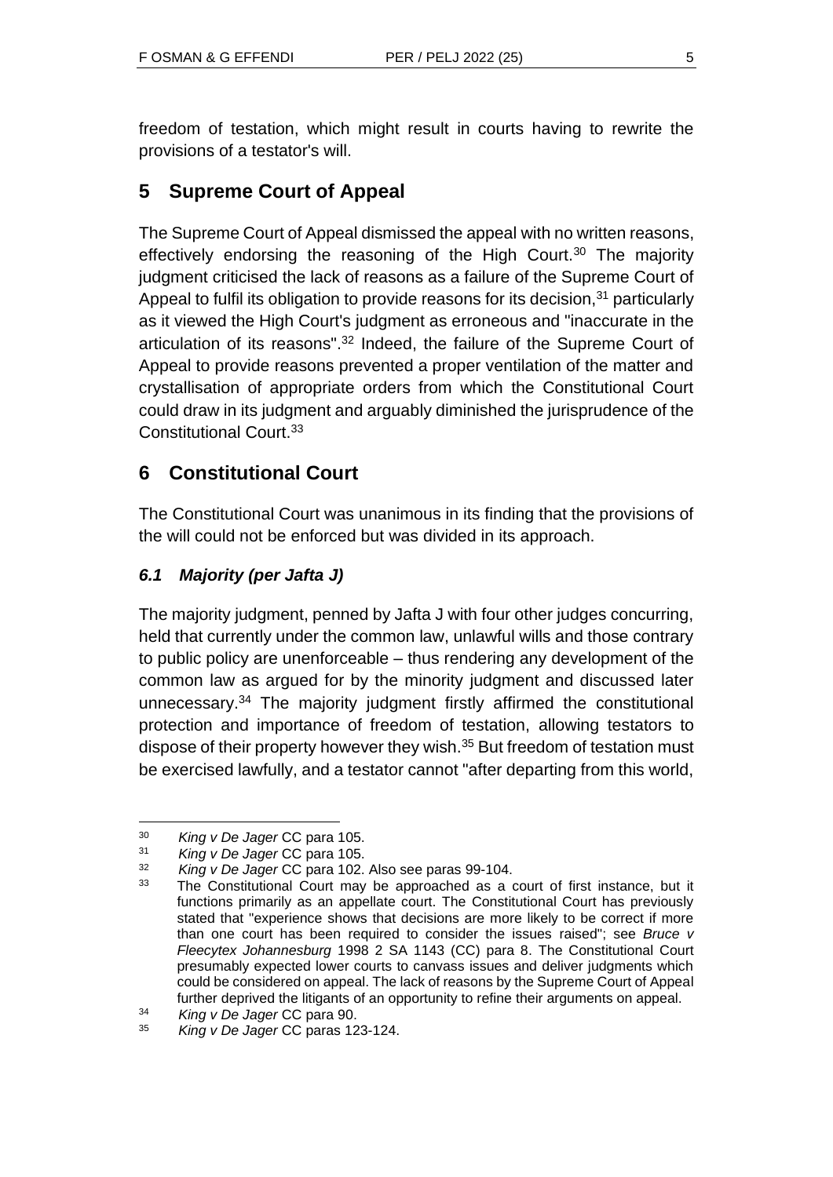freedom of testation, which might result in courts having to rewrite the provisions of a testator's will.

# **5 Supreme Court of Appeal**

The Supreme Court of Appeal dismissed the appeal with no written reasons, effectively endorsing the reasoning of the High Court.<sup>30</sup> The majority judgment criticised the lack of reasons as a failure of the Supreme Court of Appeal to fulfil its obligation to provide reasons for its decision,  $31$  particularly as it viewed the High Court's judgment as erroneous and "inaccurate in the articulation of its reasons".<sup>32</sup> Indeed, the failure of the Supreme Court of Appeal to provide reasons prevented a proper ventilation of the matter and crystallisation of appropriate orders from which the Constitutional Court could draw in its judgment and arguably diminished the jurisprudence of the Constitutional Court.<sup>33</sup>

# **6 Constitutional Court**

The Constitutional Court was unanimous in its finding that the provisions of the will could not be enforced but was divided in its approach.

## *6.1 Majority (per Jafta J)*

The majority judgment, penned by Jafta J with four other judges concurring, held that currently under the common law, unlawful wills and those contrary to public policy are unenforceable – thus rendering any development of the common law as argued for by the minority judgment and discussed later unnecessary.<sup>34</sup> The majority judgment firstly affirmed the constitutional protection and importance of freedom of testation, allowing testators to dispose of their property however they wish.<sup>35</sup> But freedom of testation must be exercised lawfully, and a testator cannot "after departing from this world,

<sup>&</sup>lt;sup>30</sup> *King v De Jager* CC para 105.<br><sup>31</sup> *King y De Jager* CC para 105.

<sup>31</sup> *King v De Jager* CC para 105.

<sup>32</sup> *King v De Jager* CC para 102. Also see paras 99-104.

<sup>&</sup>lt;sup>33</sup> The Constitutional Court may be approached as a court of first instance, but it functions primarily as an appellate court. The Constitutional Court has previously stated that "experience shows that decisions are more likely to be correct if more than one court has been required to consider the issues raised"; see *Bruce v Fleecytex Johannesburg* 1998 2 SA 1143 (CC) para 8. The Constitutional Court presumably expected lower courts to canvass issues and deliver judgments which could be considered on appeal. The lack of reasons by the Supreme Court of Appeal further deprived the litigants of an opportunity to refine their arguments on appeal.

<sup>34</sup> *King v De Jager* CC para 90.

<sup>35</sup> *King v De Jager* CC paras 123-124.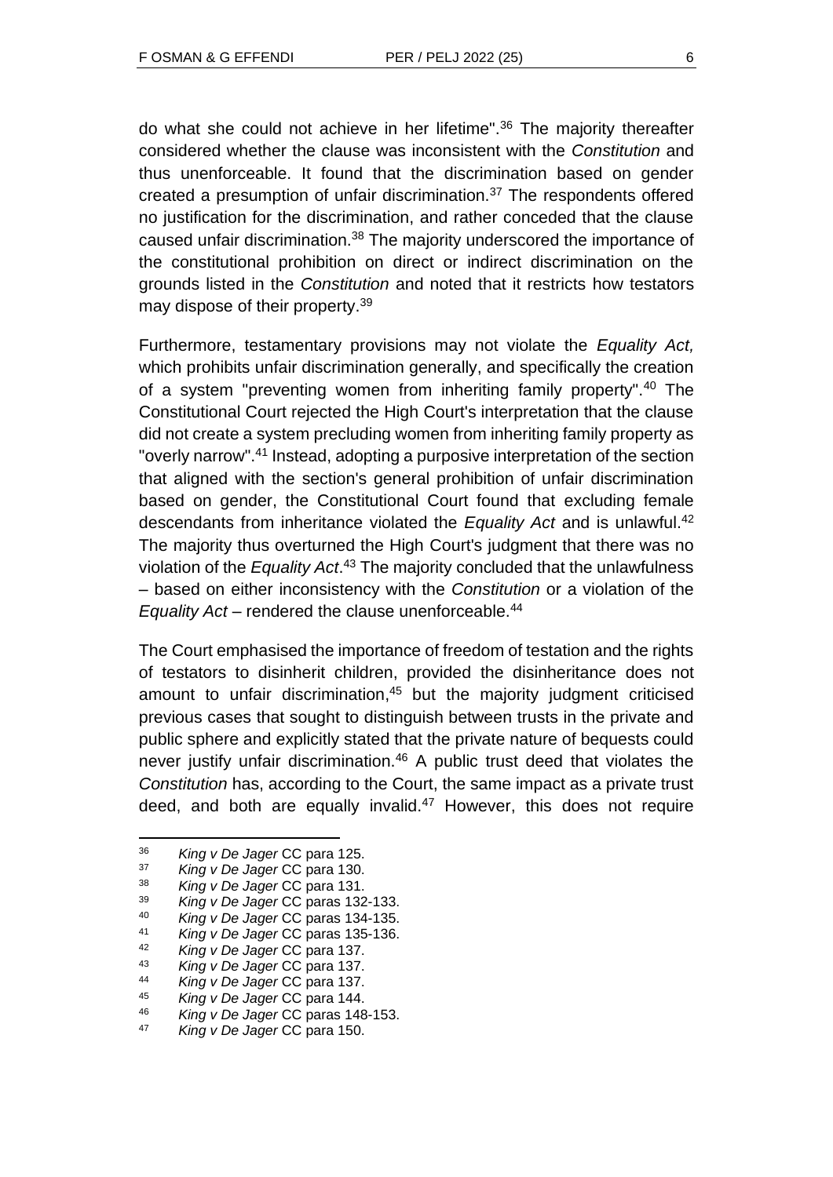do what she could not achieve in her lifetime".<sup>36</sup> The majority thereafter considered whether the clause was inconsistent with the *Constitution* and thus unenforceable. It found that the discrimination based on gender created a presumption of unfair discrimination.<sup>37</sup> The respondents offered no justification for the discrimination, and rather conceded that the clause caused unfair discrimination.<sup>38</sup> The majority underscored the importance of the constitutional prohibition on direct or indirect discrimination on the grounds listed in the *Constitution* and noted that it restricts how testators may dispose of their property.<sup>39</sup>

Furthermore, testamentary provisions may not violate the *Equality Act,* which prohibits unfair discrimination generally, and specifically the creation of a system "preventing women from inheriting family property".<sup>40</sup> The Constitutional Court rejected the High Court's interpretation that the clause did not create a system precluding women from inheriting family property as "overly narrow".<sup>41</sup> Instead, adopting a purposive interpretation of the section that aligned with the section's general prohibition of unfair discrimination based on gender, the Constitutional Court found that excluding female descendants from inheritance violated the *Equality Act* and is unlawful.<sup>42</sup> The majority thus overturned the High Court's judgment that there was no violation of the *Equality Act*. <sup>43</sup> The majority concluded that the unlawfulness – based on either inconsistency with the *Constitution* or a violation of the *Equality Act* – rendered the clause unenforceable.<sup>44</sup>

The Court emphasised the importance of freedom of testation and the rights of testators to disinherit children, provided the disinheritance does not amount to unfair discrimination, <sup>45</sup> but the majority judgment criticised previous cases that sought to distinguish between trusts in the private and public sphere and explicitly stated that the private nature of bequests could never justify unfair discrimination.<sup>46</sup> A public trust deed that violates the *Constitution* has, according to the Court, the same impact as a private trust deed, and both are equally invalid.<sup>47</sup> However, this does not require

<sup>42</sup> *King v De Jager* CC para 137.

<sup>36</sup> *King v De Jager* CC para 125.

<sup>37</sup> *King v De Jager* CC para 130.

<sup>38</sup> *King v De Jager* CC para 131.

<sup>39</sup> *King v De Jager* CC paras 132-133.

<sup>40</sup> *King v De Jager* CC paras 134-135.

<sup>41</sup> *King v De Jager* CC paras 135-136.

<sup>43</sup> *King v De Jager* CC para 137.

<sup>44</sup> *King v De Jager* CC para 137.

<sup>45</sup> *King v De Jager* CC para 144.

<sup>46</sup> *King v De Jager* CC paras 148-153.

**King v De Jager CC para 150.**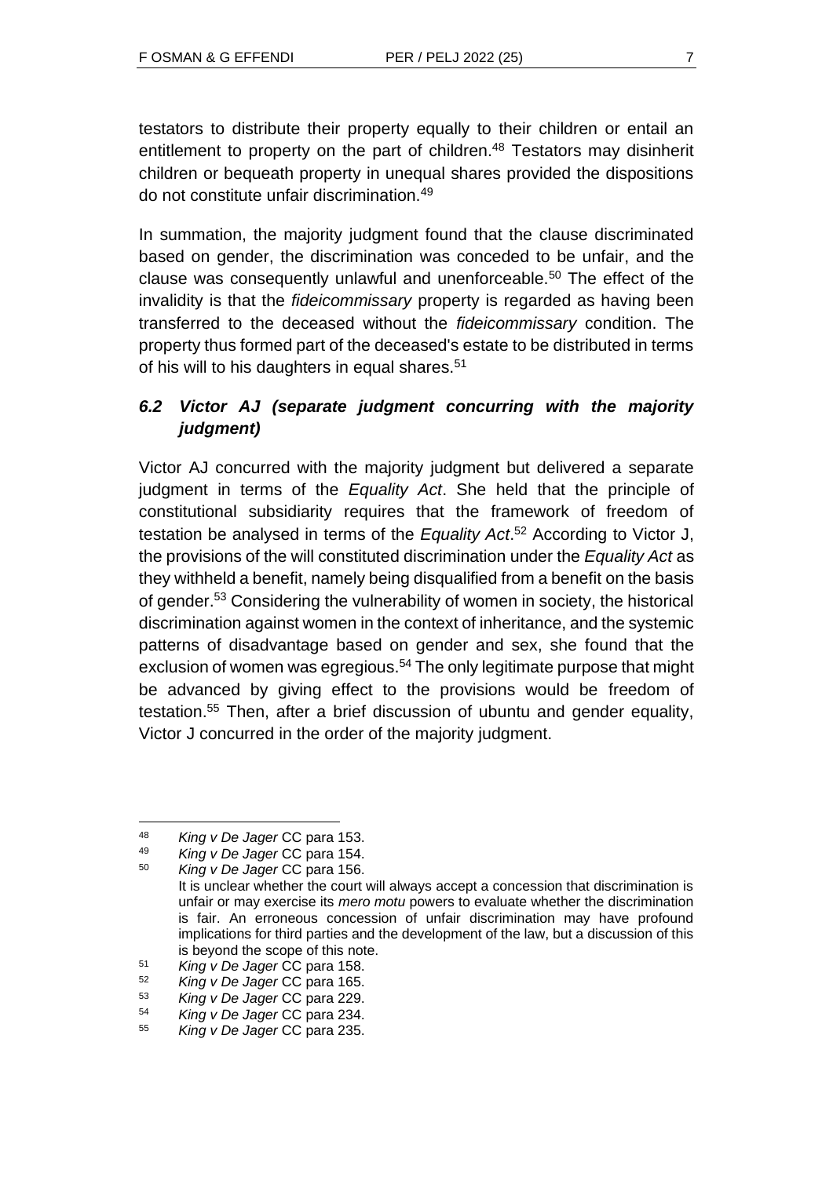testators to distribute their property equally to their children or entail an entitlement to property on the part of children.<sup>48</sup> Testators may disinherit children or bequeath property in unequal shares provided the dispositions do not constitute unfair discrimination.<sup>49</sup>

In summation, the majority judgment found that the clause discriminated based on gender, the discrimination was conceded to be unfair, and the clause was consequently unlawful and unenforceable.<sup>50</sup> The effect of the invalidity is that the *fideicommissary* property is regarded as having been transferred to the deceased without the *fideicommissary* condition. The property thus formed part of the deceased's estate to be distributed in terms of his will to his daughters in equal shares.<sup>51</sup>

## *6.2 Victor AJ (separate judgment concurring with the majority judgment)*

Victor AJ concurred with the majority judgment but delivered a separate judgment in terms of the *Equality Act*. She held that the principle of constitutional subsidiarity requires that the framework of freedom of testation be analysed in terms of the *Equality Act*. <sup>52</sup> According to Victor J, the provisions of the will constituted discrimination under the *Equality Act* as they withheld a benefit, namely being disqualified from a benefit on the basis of gender.<sup>53</sup> Considering the vulnerability of women in society, the historical discrimination against women in the context of inheritance, and the systemic patterns of disadvantage based on gender and sex, she found that the exclusion of women was egregious.<sup>54</sup> The only legitimate purpose that might be advanced by giving effect to the provisions would be freedom of testation.<sup>55</sup> Then, after a brief discussion of ubuntu and gender equality, Victor J concurred in the order of the majority judgment.

<sup>48</sup> *King v De Jager* CC para 153.

<sup>49</sup> *King v De Jager* CC para 154.

<sup>50</sup> *King v De Jager* CC para 156. It is unclear whether the court will always accept a concession that discrimination is unfair or may exercise its *mero motu* powers to evaluate whether the discrimination is fair. An erroneous concession of unfair discrimination may have profound implications for third parties and the development of the law, but a discussion of this is beyond the scope of this note.

<sup>51</sup> *King v De Jager* CC para 158.

<sup>52</sup> *King v De Jager* CC para 165.

<sup>53</sup> *King v De Jager* CC para 229.

<sup>54</sup> *King v De Jager* CC para 234.

<sup>55</sup> *King v De Jager* CC para 235.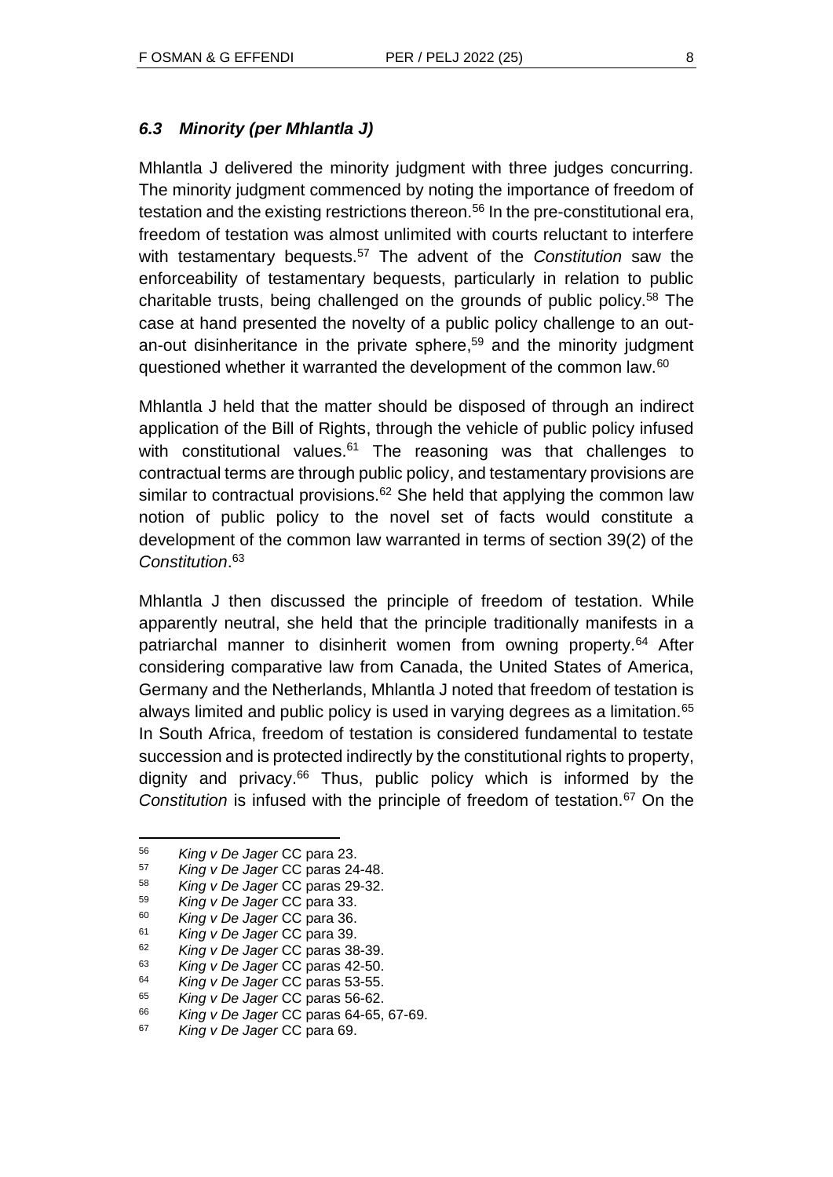Mhlantla J delivered the minority judgment with three judges concurring. The minority judgment commenced by noting the importance of freedom of testation and the existing restrictions thereon.<sup>56</sup> In the pre-constitutional era, freedom of testation was almost unlimited with courts reluctant to interfere with testamentary bequests.<sup>57</sup> The advent of the *Constitution* saw the enforceability of testamentary bequests, particularly in relation to public charitable trusts, being challenged on the grounds of public policy.<sup>58</sup> The case at hand presented the novelty of a public policy challenge to an outan-out disinheritance in the private sphere, <sup>59</sup> and the minority judgment questioned whether it warranted the development of the common law.<sup>60</sup>

Mhlantla J held that the matter should be disposed of through an indirect application of the Bill of Rights, through the vehicle of public policy infused with constitutional values. $61$  The reasoning was that challenges to contractual terms are through public policy, and testamentary provisions are similar to contractual provisions.<sup>62</sup> She held that applying the common law notion of public policy to the novel set of facts would constitute a development of the common law warranted in terms of section 39(2) of the *Constitution*. 63

Mhlantla J then discussed the principle of freedom of testation. While apparently neutral, she held that the principle traditionally manifests in a patriarchal manner to disinherit women from owning property.<sup>64</sup> After considering comparative law from Canada, the United States of America, Germany and the Netherlands, Mhlantla J noted that freedom of testation is always limited and public policy is used in varying degrees as a limitation.<sup>65</sup> In South Africa, freedom of testation is considered fundamental to testate succession and is protected indirectly by the constitutional rights to property, dignity and privacy. $66$  Thus, public policy which is informed by the *Constitution* is infused with the principle of freedom of testation.<sup>67</sup> On the

<sup>56</sup> *King v De Jager* CC para 23.

<sup>57</sup> *King v De Jager* CC paras 24-48.

<sup>58</sup> *King v De Jager* CC paras 29-32.

<sup>59</sup> *King v De Jager* CC para 33.

<sup>60</sup> *King v De Jager* CC para 36.

<sup>61</sup> *King v De Jager* CC para 39.

<sup>62</sup> *King v De Jager* CC paras 38-39.

<sup>63</sup> *King v De Jager* CC paras 42-50.

<sup>64</sup> *King v De Jager* CC paras 53-55.

<sup>65</sup> *King v De Jager* CC paras 56-62.

<sup>66</sup> *King v De Jager* CC paras 64-65, 67-69.

<sup>67</sup> *King v De Jager* CC para 69.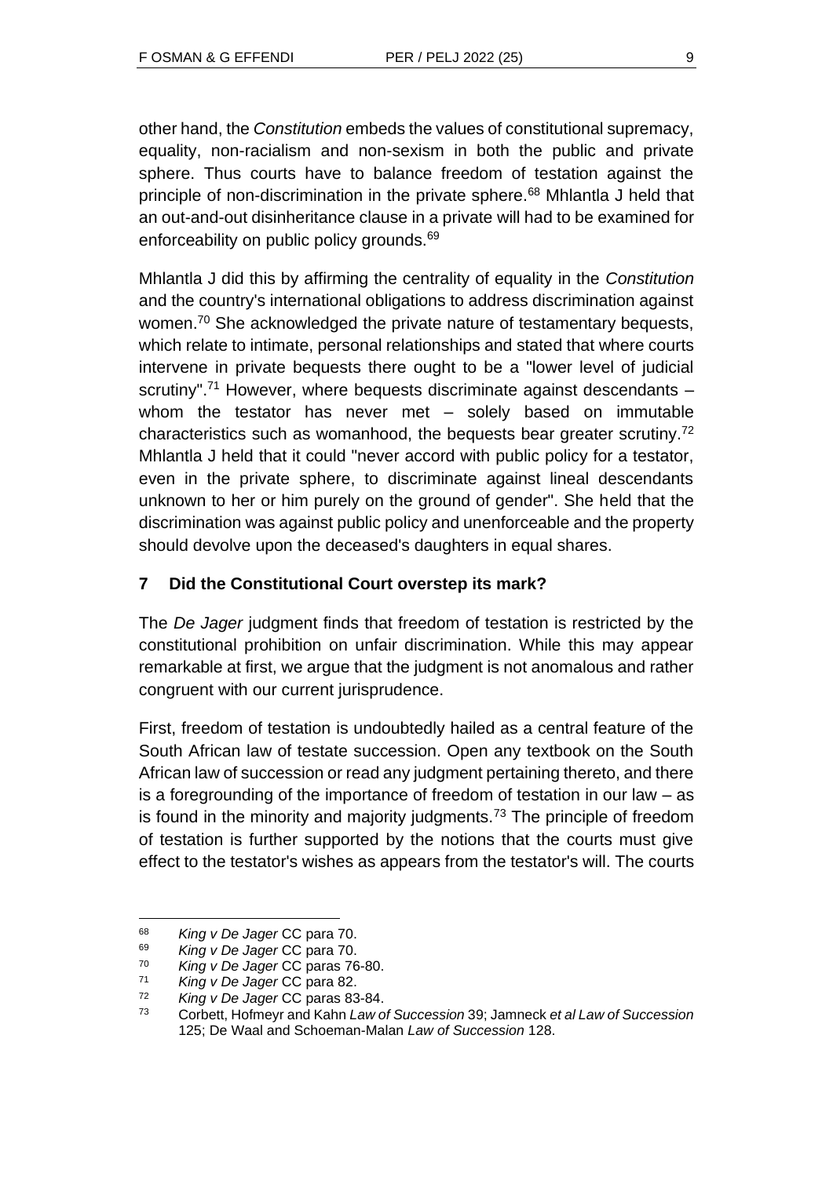other hand, the *Constitution* embeds the values of constitutional supremacy, equality, non-racialism and non-sexism in both the public and private sphere. Thus courts have to balance freedom of testation against the principle of non-discrimination in the private sphere.<sup>68</sup> Mhlantla J held that an out-and-out disinheritance clause in a private will had to be examined for enforceability on public policy grounds.<sup>69</sup>

Mhlantla J did this by affirming the centrality of equality in the *Constitution* and the country's international obligations to address discrimination against women.<sup>70</sup> She acknowledged the private nature of testamentary bequests, which relate to intimate, personal relationships and stated that where courts intervene in private bequests there ought to be a "lower level of judicial scrutiny".<sup>71</sup> However, where bequests discriminate against descendants  $$ whom the testator has never met – solely based on immutable characteristics such as womanhood, the bequests bear greater scrutiny.<sup>72</sup> Mhlantla J held that it could "never accord with public policy for a testator, even in the private sphere, to discriminate against lineal descendants unknown to her or him purely on the ground of gender". She held that the discrimination was against public policy and unenforceable and the property should devolve upon the deceased's daughters in equal shares.

## **7 Did the Constitutional Court overstep its mark?**

The *De Jager* judgment finds that freedom of testation is restricted by the constitutional prohibition on unfair discrimination. While this may appear remarkable at first, we argue that the judgment is not anomalous and rather congruent with our current jurisprudence.

First, freedom of testation is undoubtedly hailed as a central feature of the South African law of testate succession. Open any textbook on the South African law of succession or read any judgment pertaining thereto, and there is a foregrounding of the importance of freedom of testation in our law – as is found in the minority and majority judgments.<sup>73</sup> The principle of freedom of testation is further supported by the notions that the courts must give effect to the testator's wishes as appears from the testator's will. The courts

<sup>68</sup> *King v De Jager* CC para 70.

<sup>69</sup> *King v De Jager* CC para 70.

<sup>70</sup> *King v De Jager* CC paras 76-80.

<sup>71</sup> *King v De Jager* CC para 82.

<sup>72</sup> *King v De Jager* CC paras 83-84.

<sup>73</sup> Corbett, Hofmeyr and Kahn *Law of Succession* 39; Jamneck *et al Law of Succession* 125; De Waal and Schoeman-Malan *Law of Succession* 128.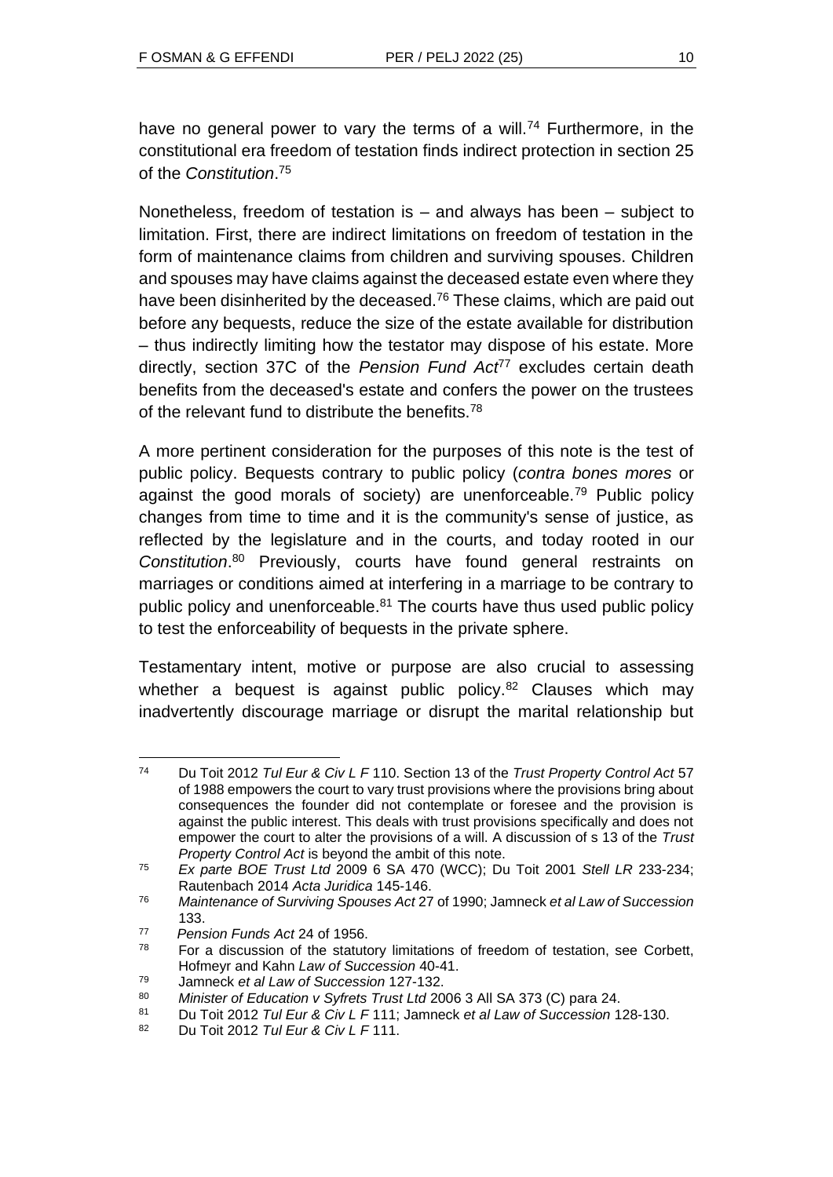have no general power to vary the terms of a will.<sup>74</sup> Furthermore, in the constitutional era freedom of testation finds indirect protection in section 25 of the *Constitution*. 75

Nonetheless, freedom of testation is  $-$  and always has been  $-$  subject to limitation. First, there are indirect limitations on freedom of testation in the form of maintenance claims from children and surviving spouses. Children and spouses may have claims against the deceased estate even where they have been disinherited by the deceased.<sup>76</sup> These claims, which are paid out before any bequests, reduce the size of the estate available for distribution – thus indirectly limiting how the testator may dispose of his estate. More directly, section 37C of the *Pension Fund Act*<sup>77</sup> excludes certain death benefits from the deceased's estate and confers the power on the trustees of the relevant fund to distribute the benefits.<sup>78</sup>

A more pertinent consideration for the purposes of this note is the test of public policy. Bequests contrary to public policy (*contra bones mores* or against the good morals of society) are unenforceable.<sup>79</sup> Public policy changes from time to time and it is the community's sense of justice, as reflected by the legislature and in the courts, and today rooted in our *Constitution*. <sup>80</sup> Previously, courts have found general restraints on marriages or conditions aimed at interfering in a marriage to be contrary to public policy and unenforceable.<sup>81</sup> The courts have thus used public policy to test the enforceability of bequests in the private sphere.

Testamentary intent, motive or purpose are also crucial to assessing whether a bequest is against public policy.<sup>82</sup> Clauses which may inadvertently discourage marriage or disrupt the marital relationship but

<sup>74</sup> Du Toit 2012 *Tul Eur & Civ L F* 110. Section 13 of the *Trust Property Control Act* 57 of 1988 empowers the court to vary trust provisions where the provisions bring about consequences the founder did not contemplate or foresee and the provision is against the public interest. This deals with trust provisions specifically and does not empower the court to alter the provisions of a will. A discussion of s 13 of the *Trust Property Control Act* is beyond the ambit of this note.

<sup>75</sup> *Ex parte BOE Trust Ltd* 2009 6 SA 470 (WCC); Du Toit 2001 *Stell LR* 233-234; Rautenbach 2014 *Acta Juridica* 145-146.

<sup>76</sup> *Maintenance of Surviving Spouses Act* 27 of 1990; Jamneck *et al Law of Succession* 133.

<sup>77</sup> *Pension Funds Act* 24 of 1956.

 $78$  For a discussion of the statutory limitations of freedom of testation, see Corbett, Hofmeyr and Kahn *Law of Succession* 40-41.

<sup>79</sup> Jamneck *et al Law of Succession* 127-132.

<sup>80</sup> *Minister of Education v Syfrets Trust Ltd* 2006 3 All SA 373 (C) para 24.

<sup>81</sup> Du Toit 2012 *Tul Eur & Civ L F* 111; Jamneck *et al Law of Succession* 128-130.

<sup>82</sup> Du Toit 2012 *Tul Eur & Civ L F* 111.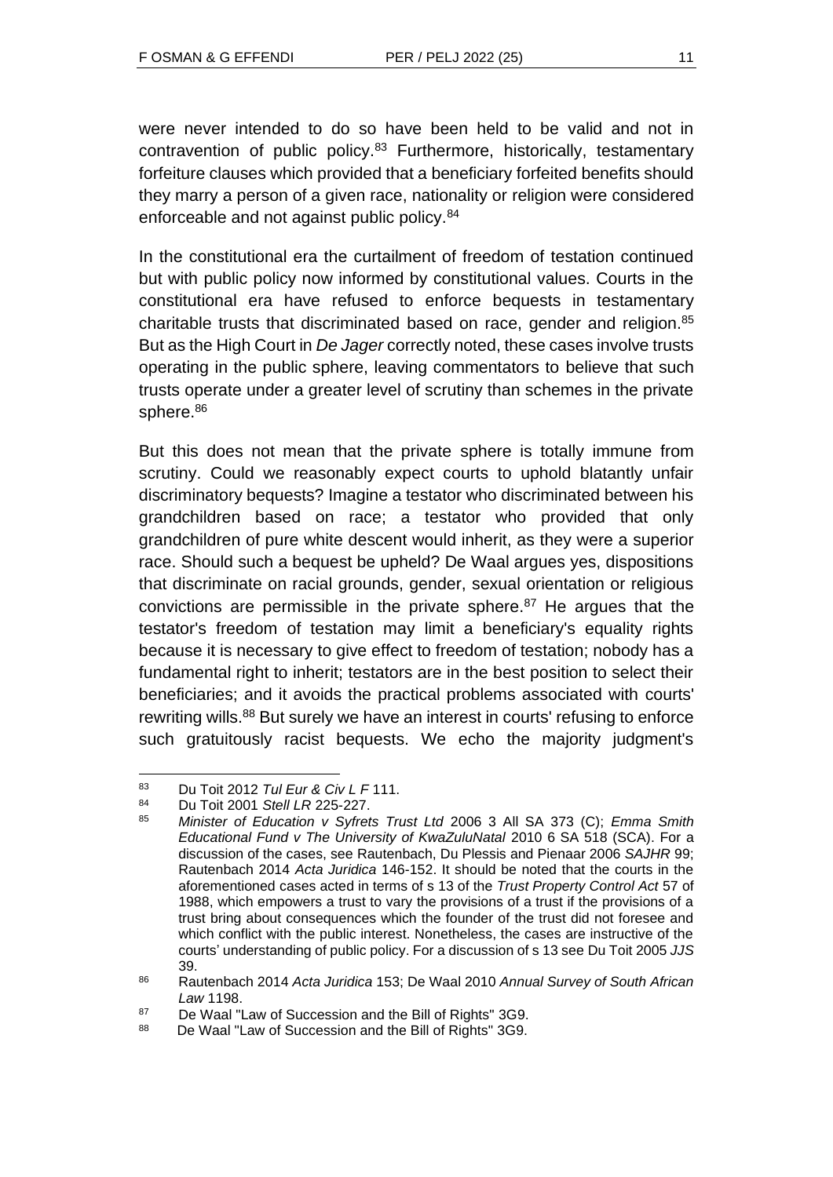were never intended to do so have been held to be valid and not in contravention of public policy.<sup>83</sup> Furthermore, historically, testamentary forfeiture clauses which provided that a beneficiary forfeited benefits should they marry a person of a given race, nationality or religion were considered enforceable and not against public policy.<sup>84</sup>

In the constitutional era the curtailment of freedom of testation continued but with public policy now informed by constitutional values. Courts in the constitutional era have refused to enforce bequests in testamentary charitable trusts that discriminated based on race, gender and religion.<sup>85</sup> But as the High Court in *De Jager* correctly noted, these cases involve trusts operating in the public sphere, leaving commentators to believe that such trusts operate under a greater level of scrutiny than schemes in the private sphere.<sup>86</sup>

But this does not mean that the private sphere is totally immune from scrutiny. Could we reasonably expect courts to uphold blatantly unfair discriminatory bequests? Imagine a testator who discriminated between his grandchildren based on race; a testator who provided that only grandchildren of pure white descent would inherit, as they were a superior race. Should such a bequest be upheld? De Waal argues yes, dispositions that discriminate on racial grounds, gender, sexual orientation or religious convictions are permissible in the private sphere. $87$  He argues that the testator's freedom of testation may limit a beneficiary's equality rights because it is necessary to give effect to freedom of testation; nobody has a fundamental right to inherit; testators are in the best position to select their beneficiaries; and it avoids the practical problems associated with courts' rewriting wills.<sup>88</sup> But surely we have an interest in courts' refusing to enforce such gratuitously racist bequests. We echo the majority judgment's

<sup>83</sup> Du Toit 2012 *Tul Eur & Civ L F* 111.

<sup>84</sup> Du Toit 2001 *Stell LR* 225-227.

<sup>85</sup> *Minister of Education v Syfrets Trust Ltd* 2006 3 All SA 373 (C); *Emma Smith Educational Fund v The University of KwaZuluNatal* 2010 6 SA 518 (SCA). For a discussion of the cases, see Rautenbach, Du Plessis and Pienaar 2006 *SAJHR* 99; Rautenbach 2014 *Acta Juridica* 146-152. It should be noted that the courts in the aforementioned cases acted in terms of s 13 of the *Trust Property Control Act* 57 of 1988, which empowers a trust to vary the provisions of a trust if the provisions of a trust bring about consequences which the founder of the trust did not foresee and which conflict with the public interest. Nonetheless, the cases are instructive of the courts' understanding of public policy. For a discussion of s 13 see Du Toit 2005 *JJS*  39.

<sup>86</sup> Rautenbach 2014 *Acta Juridica* 153; De Waal 2010 *Annual Survey of South African Law* 1198.

<sup>87</sup> De Waal "Law of Succession and the Bill of Rights" 3G9.

<sup>88</sup> De Waal "Law of Succession and the Bill of Rights" 3G9.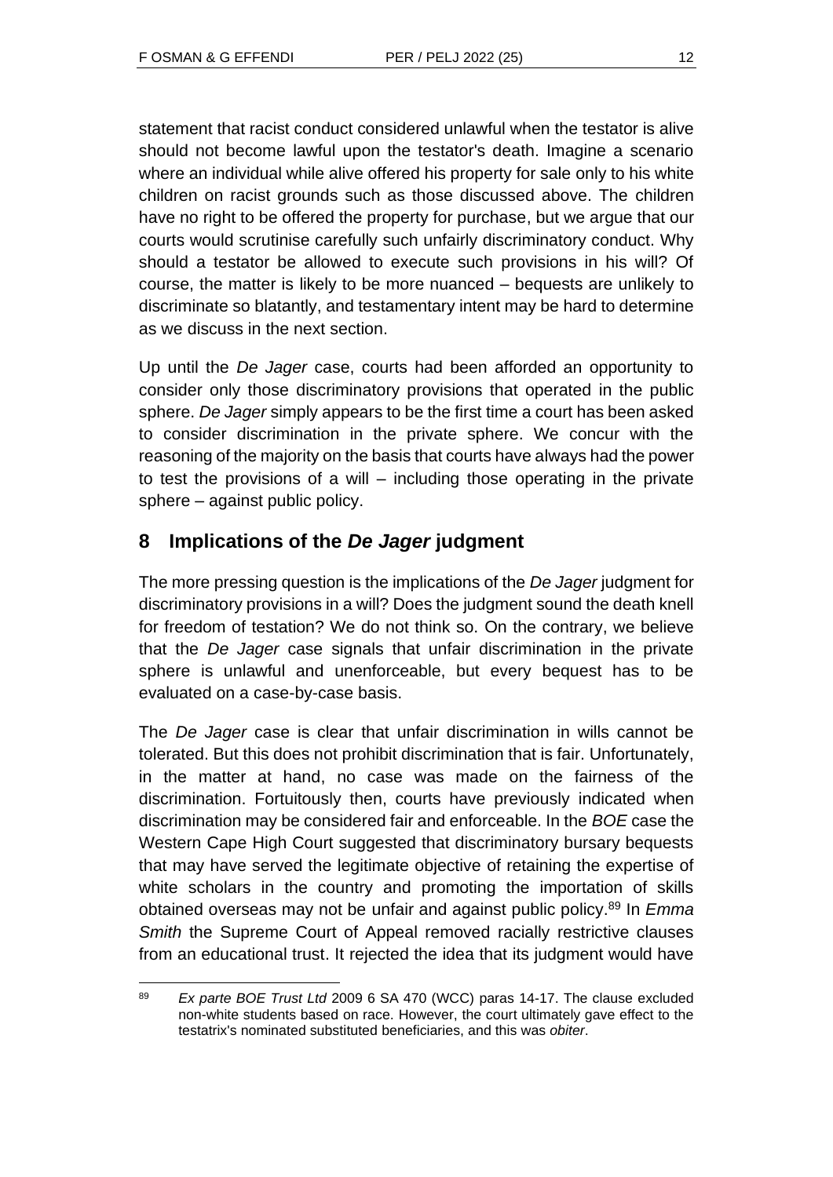statement that racist conduct considered unlawful when the testator is alive should not become lawful upon the testator's death. Imagine a scenario where an individual while alive offered his property for sale only to his white children on racist grounds such as those discussed above. The children have no right to be offered the property for purchase, but we argue that our courts would scrutinise carefully such unfairly discriminatory conduct. Why should a testator be allowed to execute such provisions in his will? Of course, the matter is likely to be more nuanced – bequests are unlikely to discriminate so blatantly, and testamentary intent may be hard to determine as we discuss in the next section.

Up until the *De Jager* case, courts had been afforded an opportunity to consider only those discriminatory provisions that operated in the public sphere. *De Jager* simply appears to be the first time a court has been asked to consider discrimination in the private sphere. We concur with the reasoning of the majority on the basis that courts have always had the power to test the provisions of a will – including those operating in the private sphere – against public policy.

## **8 Implications of the** *De Jager* **judgment**

The more pressing question is the implications of the *De Jager* judgment for discriminatory provisions in a will? Does the judgment sound the death knell for freedom of testation? We do not think so. On the contrary, we believe that the *De Jager* case signals that unfair discrimination in the private sphere is unlawful and unenforceable, but every bequest has to be evaluated on a case-by-case basis.

The *De Jager* case is clear that unfair discrimination in wills cannot be tolerated. But this does not prohibit discrimination that is fair. Unfortunately, in the matter at hand, no case was made on the fairness of the discrimination. Fortuitously then, courts have previously indicated when discrimination may be considered fair and enforceable. In the *BOE* case the Western Cape High Court suggested that discriminatory bursary bequests that may have served the legitimate objective of retaining the expertise of white scholars in the country and promoting the importation of skills obtained overseas may not be unfair and against public policy.<sup>89</sup> In *Emma Smith* the Supreme Court of Appeal removed racially restrictive clauses from an educational trust. It rejected the idea that its judgment would have

<sup>89</sup> *Ex parte BOE Trust Ltd* 2009 6 SA 470 (WCC) paras 14-17. The clause excluded non-white students based on race. However, the court ultimately gave effect to the testatrix's nominated substituted beneficiaries, and this was *obiter*.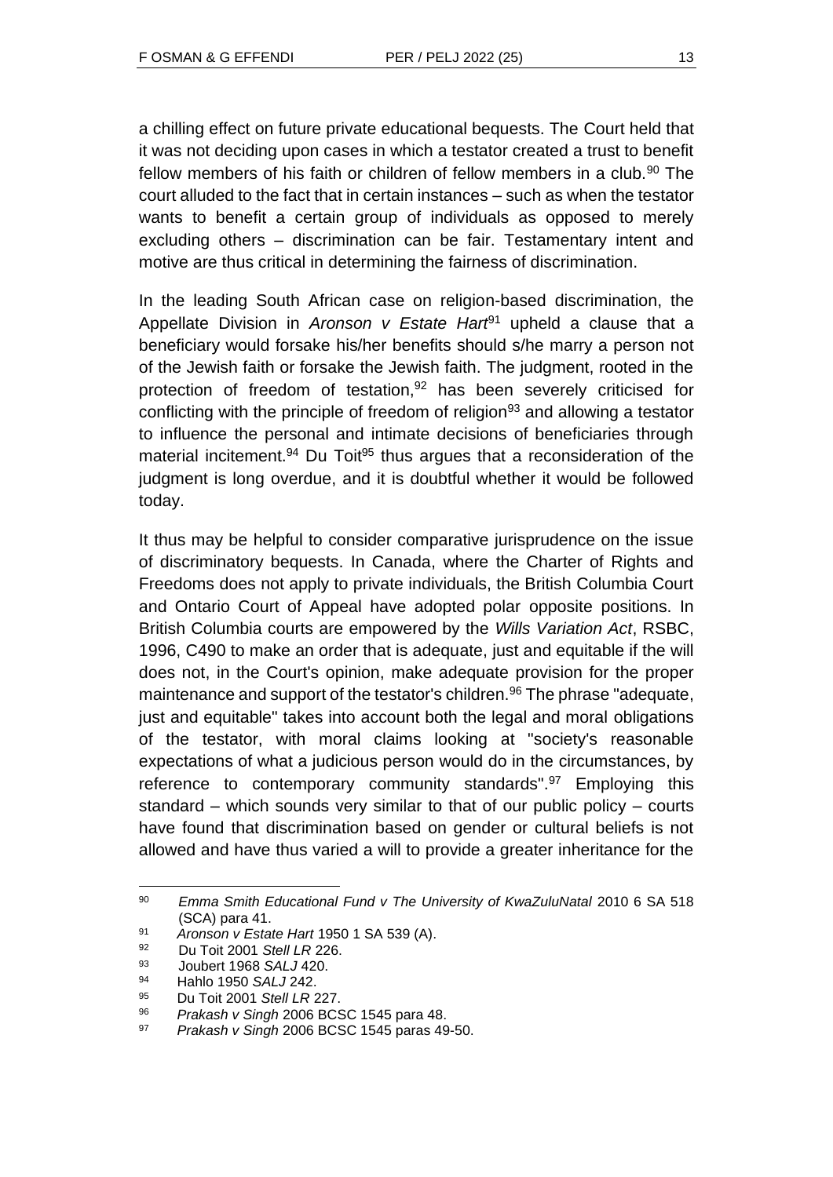a chilling effect on future private educational bequests. The Court held that it was not deciding upon cases in which a testator created a trust to benefit fellow members of his faith or children of fellow members in a club.<sup>90</sup> The court alluded to the fact that in certain instances – such as when the testator wants to benefit a certain group of individuals as opposed to merely excluding others – discrimination can be fair. Testamentary intent and motive are thus critical in determining the fairness of discrimination.

In the leading South African case on religion-based discrimination, the Appellate Division in *Aronson v Estate Hart*<sup>91</sup> upheld a clause that a beneficiary would forsake his/her benefits should s/he marry a person not of the Jewish faith or forsake the Jewish faith. The judgment, rooted in the protection of freedom of testation, $92$  has been severely criticised for conflicting with the principle of freedom of religion<sup>93</sup> and allowing a testator to influence the personal and intimate decisions of beneficiaries through material incitement.<sup>94</sup> Du Toit<sup>95</sup> thus argues that a reconsideration of the judgment is long overdue, and it is doubtful whether it would be followed today.

It thus may be helpful to consider comparative jurisprudence on the issue of discriminatory bequests. In Canada, where the Charter of Rights and Freedoms does not apply to private individuals, the British Columbia Court and Ontario Court of Appeal have adopted polar opposite positions. In British Columbia courts are empowered by the *Wills Variation Act*, RSBC, 1996, C490 to make an order that is adequate, just and equitable if the will does not, in the Court's opinion, make adequate provision for the proper maintenance and support of the testator's children.<sup>96</sup> The phrase "adequate, just and equitable" takes into account both the legal and moral obligations of the testator, with moral claims looking at "society's reasonable expectations of what a judicious person would do in the circumstances, by reference to contemporary community standards".<sup>97</sup> Employing this standard – which sounds very similar to that of our public policy – courts have found that discrimination based on gender or cultural beliefs is not allowed and have thus varied a will to provide a greater inheritance for the

<sup>90</sup> *Emma Smith Educational Fund v The University of KwaZuluNatal* 2010 6 SA 518 (SCA) para 41.

<sup>91</sup> *Aronson v Estate Hart* 1950 1 SA 539 (A).

<sup>92</sup> Du Toit 2001 *Stell LR* 226.

<sup>93</sup> Joubert 1968 *SALJ* 420.

<sup>94</sup> Hahlo 1950 *SALJ* 242.

<sup>95</sup> Du Toit 2001 *Stell LR* 227.

<sup>96</sup> *Prakash v Singh* 2006 BCSC 1545 para 48.

<sup>97</sup> *Prakash v Singh* 2006 BCSC 1545 paras 49-50.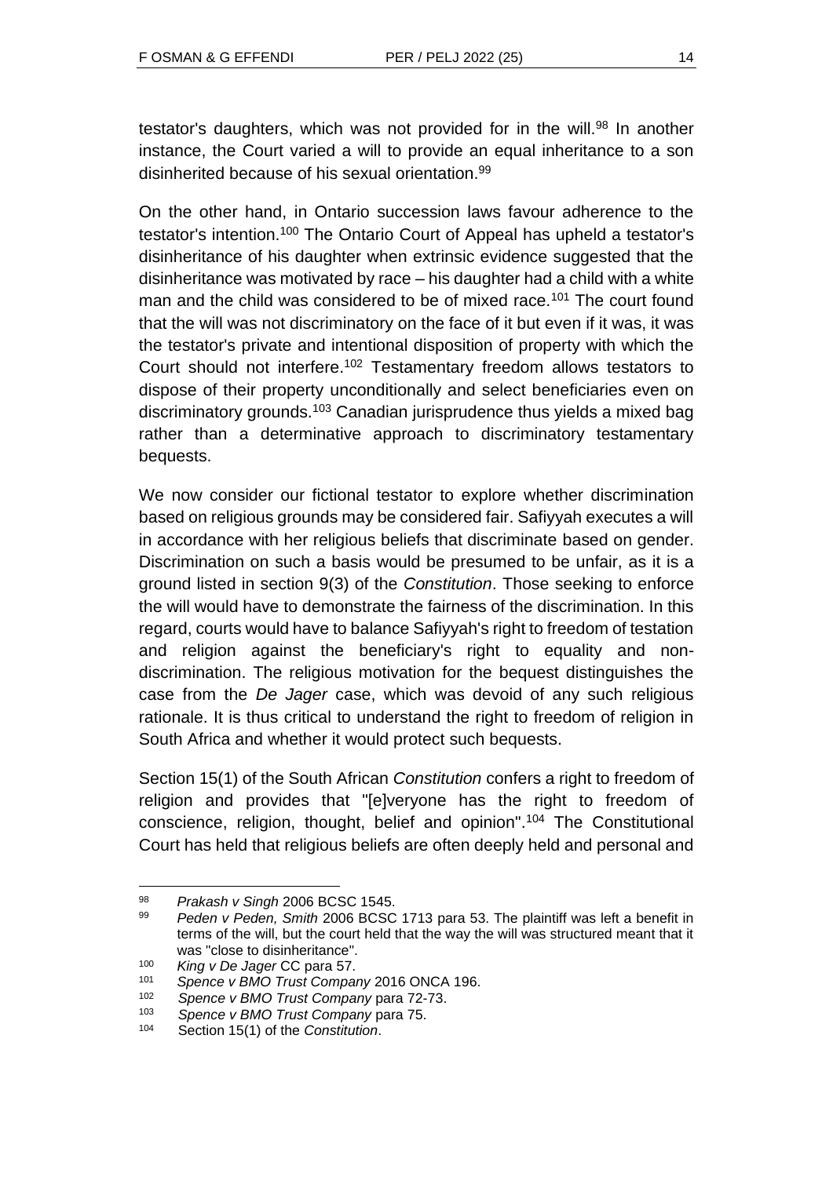testator's daughters, which was not provided for in the will.<sup>98</sup> In another instance, the Court varied a will to provide an equal inheritance to a son disinherited because of his sexual orientation.<sup>99</sup>

On the other hand, in Ontario succession laws favour adherence to the testator's intention.<sup>100</sup> The Ontario Court of Appeal has upheld a testator's disinheritance of his daughter when extrinsic evidence suggested that the disinheritance was motivated by race – his daughter had a child with a white man and the child was considered to be of mixed race.<sup>101</sup> The court found that the will was not discriminatory on the face of it but even if it was, it was the testator's private and intentional disposition of property with which the Court should not interfere.<sup>102</sup> Testamentary freedom allows testators to dispose of their property unconditionally and select beneficiaries even on discriminatory grounds.<sup>103</sup> Canadian jurisprudence thus yields a mixed bag rather than a determinative approach to discriminatory testamentary bequests.

We now consider our fictional testator to explore whether discrimination based on religious grounds may be considered fair. Safiyyah executes a will in accordance with her religious beliefs that discriminate based on gender. Discrimination on such a basis would be presumed to be unfair, as it is a ground listed in section 9(3) of the *Constitution*. Those seeking to enforce the will would have to demonstrate the fairness of the discrimination. In this regard, courts would have to balance Safiyyah's right to freedom of testation and religion against the beneficiary's right to equality and nondiscrimination. The religious motivation for the bequest distinguishes the case from the *De Jager* case, which was devoid of any such religious rationale. It is thus critical to understand the right to freedom of religion in South Africa and whether it would protect such bequests.

Section 15(1) of the South African *Constitution* confers a right to freedom of religion and provides that "[e]veryone has the right to freedom of conscience, religion, thought, belief and opinion".<sup>104</sup> The Constitutional Court has held that religious beliefs are often deeply held and personal and

<sup>98</sup> *Prakash v Singh* 2006 BCSC 1545.

<sup>99</sup> *Peden v Peden, Smith* 2006 BCSC 1713 para 53. The plaintiff was left a benefit in terms of the will, but the court held that the way the will was structured meant that it was "close to disinheritance".

<sup>100</sup> *King v De Jager* CC para 57.

<sup>101</sup> *Spence v BMO Trust Company* 2016 ONCA 196.

<sup>102</sup> *Spence v BMO Trust Company* para 72-73.

<sup>103</sup> *Spence v BMO Trust Company* para 75.

Section 15(1) of the *Constitution*.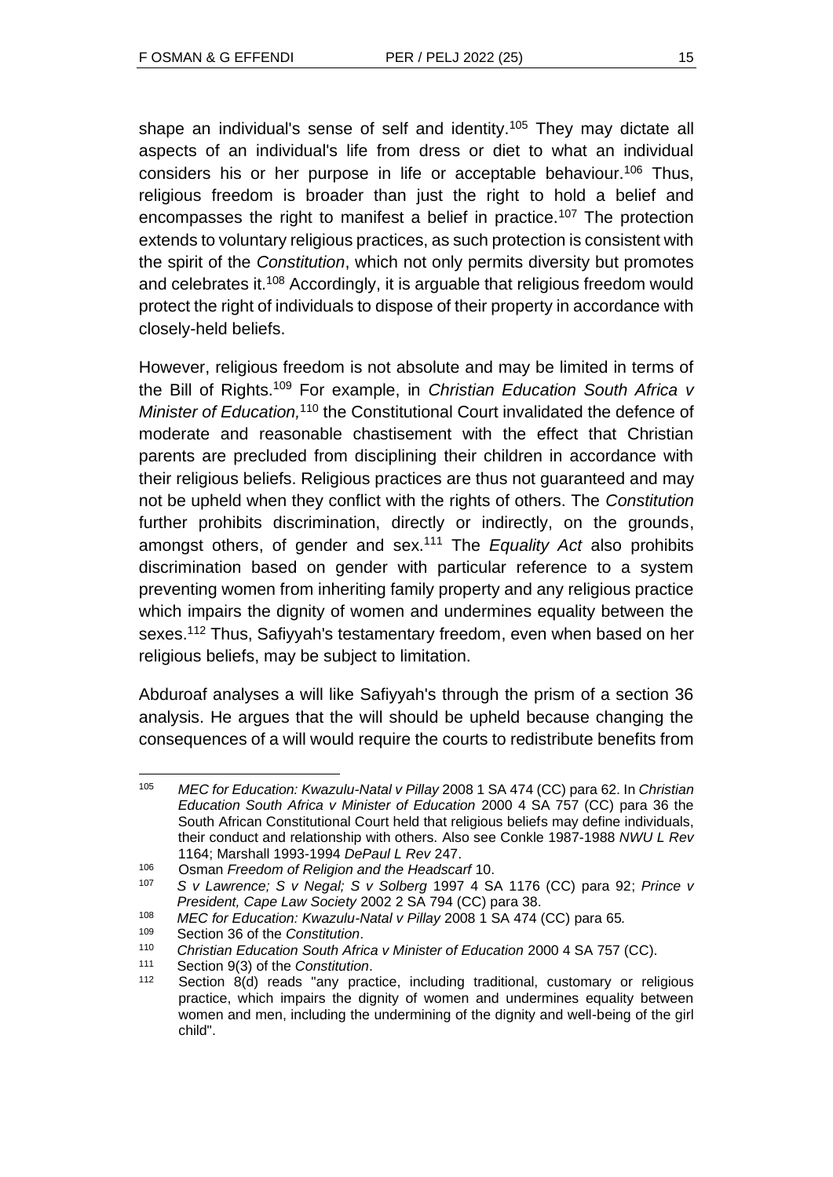shape an individual's sense of self and identity.<sup>105</sup> They may dictate all aspects of an individual's life from dress or diet to what an individual considers his or her purpose in life or acceptable behaviour.<sup>106</sup> Thus, religious freedom is broader than just the right to hold a belief and encompasses the right to manifest a belief in practice.<sup>107</sup> The protection extends to voluntary religious practices, as such protection is consistent with the spirit of the *Constitution*, which not only permits diversity but promotes and celebrates it.<sup>108</sup> Accordingly, it is arguable that religious freedom would protect the right of individuals to dispose of their property in accordance with closely-held beliefs.

However, religious freedom is not absolute and may be limited in terms of the Bill of Rights.<sup>109</sup> For example, in *Christian Education South Africa v*  Minister of Education,<sup>110</sup> the Constitutional Court invalidated the defence of moderate and reasonable chastisement with the effect that Christian parents are precluded from disciplining their children in accordance with their religious beliefs. Religious practices are thus not guaranteed and may not be upheld when they conflict with the rights of others. The *Constitution* further prohibits discrimination, directly or indirectly, on the grounds, amongst others, of gender and sex.<sup>111</sup> The *Equality Act* also prohibits discrimination based on gender with particular reference to a system preventing women from inheriting family property and any religious practice which impairs the dignity of women and undermines equality between the sexes.<sup>112</sup> Thus, Safiyyah's testamentary freedom, even when based on her religious beliefs, may be subject to limitation.

Abduroaf analyses a will like Safiyyah's through the prism of a section 36 analysis. He argues that the will should be upheld because changing the consequences of a will would require the courts to redistribute benefits from

<sup>105</sup> *MEC for Education: Kwazulu-Natal v Pillay* 2008 1 SA 474 (CC) para 62. In *Christian Education South Africa v Minister of Education* 2000 4 SA 757 (CC) para 36 the South African Constitutional Court held that religious beliefs may define individuals, their conduct and relationship with others. Also see Conkle 1987-1988 *NWU L Rev* 1164; Marshall 1993-1994 *DePaul L Rev* 247.

<sup>106</sup> Osman *Freedom of Religion and the Headscarf* 10.

<sup>107</sup> *S v Lawrence; S v Negal; S v Solberg* 1997 4 SA 1176 (CC) para 92; *Prince v President, Cape Law Society* 2002 2 SA 794 (CC) para 38.

<sup>108</sup> *MEC for Education: Kwazulu-Natal v Pillay* 2008 1 SA 474 (CC) para 65*.*

<sup>109</sup> Section 36 of the *Constitution*.

<sup>110</sup> *Christian Education South Africa v Minister of Education* 2000 4 SA 757 (CC).

<sup>111</sup> Section 9(3) of the *Constitution*.

<sup>112</sup> Section 8(d) reads "any practice, including traditional, customary or religious practice, which impairs the dignity of women and undermines equality between women and men, including the undermining of the dignity and well-being of the girl child".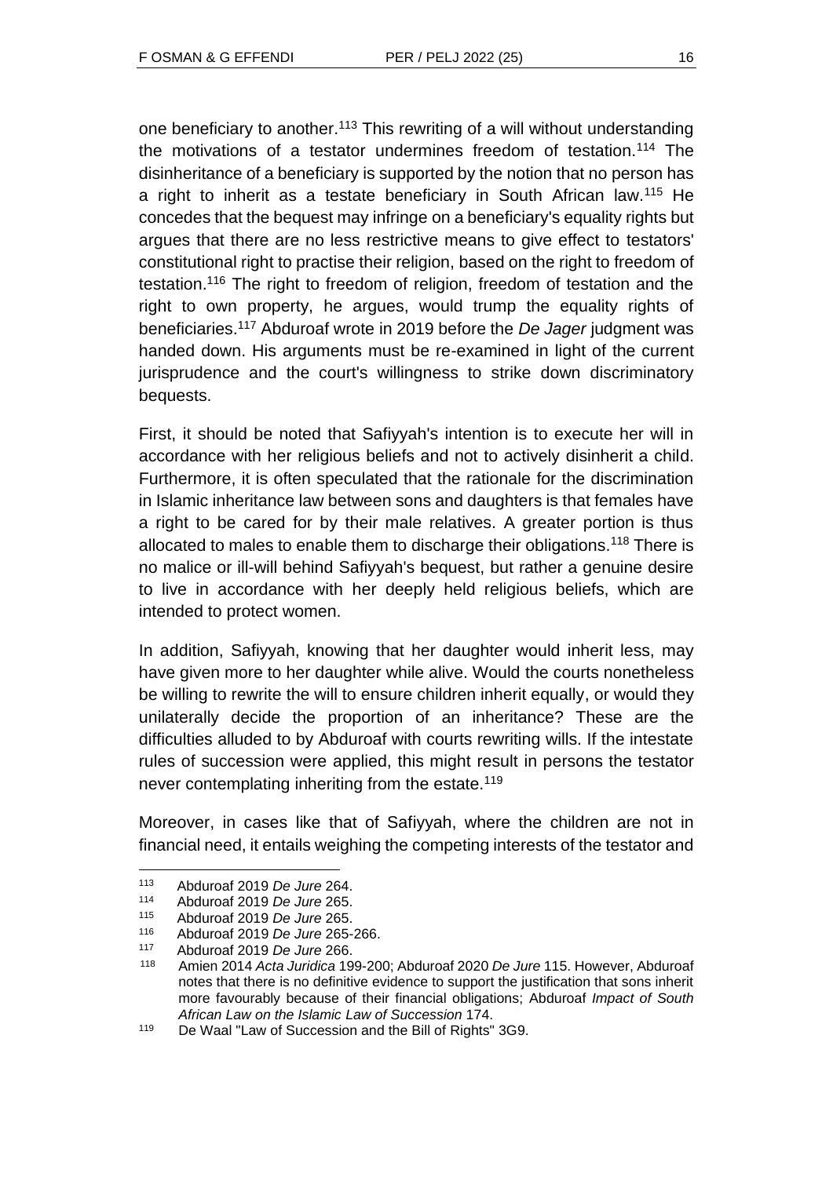one beneficiary to another.<sup>113</sup> This rewriting of a will without understanding the motivations of a testator undermines freedom of testation.<sup>114</sup> The disinheritance of a beneficiary is supported by the notion that no person has a right to inherit as a testate beneficiary in South African law.<sup>115</sup> He concedes that the bequest may infringe on a beneficiary's equality rights but argues that there are no less restrictive means to give effect to testators' constitutional right to practise their religion, based on the right to freedom of testation.<sup>116</sup> The right to freedom of religion, freedom of testation and the right to own property, he argues, would trump the equality rights of beneficiaries.<sup>117</sup> Abduroaf wrote in 2019 before the *De Jager* judgment was handed down. His arguments must be re-examined in light of the current jurisprudence and the court's willingness to strike down discriminatory bequests.

First, it should be noted that Safiyyah's intention is to execute her will in accordance with her religious beliefs and not to actively disinherit a child. Furthermore, it is often speculated that the rationale for the discrimination in Islamic inheritance law between sons and daughters is that females have a right to be cared for by their male relatives. A greater portion is thus allocated to males to enable them to discharge their obligations.<sup>118</sup> There is no malice or ill-will behind Safiyyah's bequest, but rather a genuine desire to live in accordance with her deeply held religious beliefs, which are intended to protect women.

In addition, Safiyyah, knowing that her daughter would inherit less, may have given more to her daughter while alive. Would the courts nonetheless be willing to rewrite the will to ensure children inherit equally, or would they unilaterally decide the proportion of an inheritance? These are the difficulties alluded to by Abduroaf with courts rewriting wills. If the intestate rules of succession were applied, this might result in persons the testator never contemplating inheriting from the estate.<sup>119</sup>

Moreover, in cases like that of Safiyyah, where the children are not in financial need, it entails weighing the competing interests of the testator and

<sup>113</sup> Abduroaf 2019 *De Jure* 264.

<sup>114</sup> Abduroaf 2019 *De Jure* 265.

<sup>115</sup> Abduroaf 2019 *De Jure* 265.

<sup>116</sup> Abduroaf 2019 *De Jure* 265-266.

<sup>117</sup> Abduroaf 2019 *De Jure* 266.

<sup>118</sup> Amien 2014 *Acta Juridica* 199-200; Abduroaf 2020 *De Jure* 115. However, Abduroaf notes that there is no definitive evidence to support the justification that sons inherit more favourably because of their financial obligations; Abduroaf *Impact of South African Law on the Islamic Law of Succession* 174.

<sup>119</sup> De Waal "Law of Succession and the Bill of Rights" 3G9.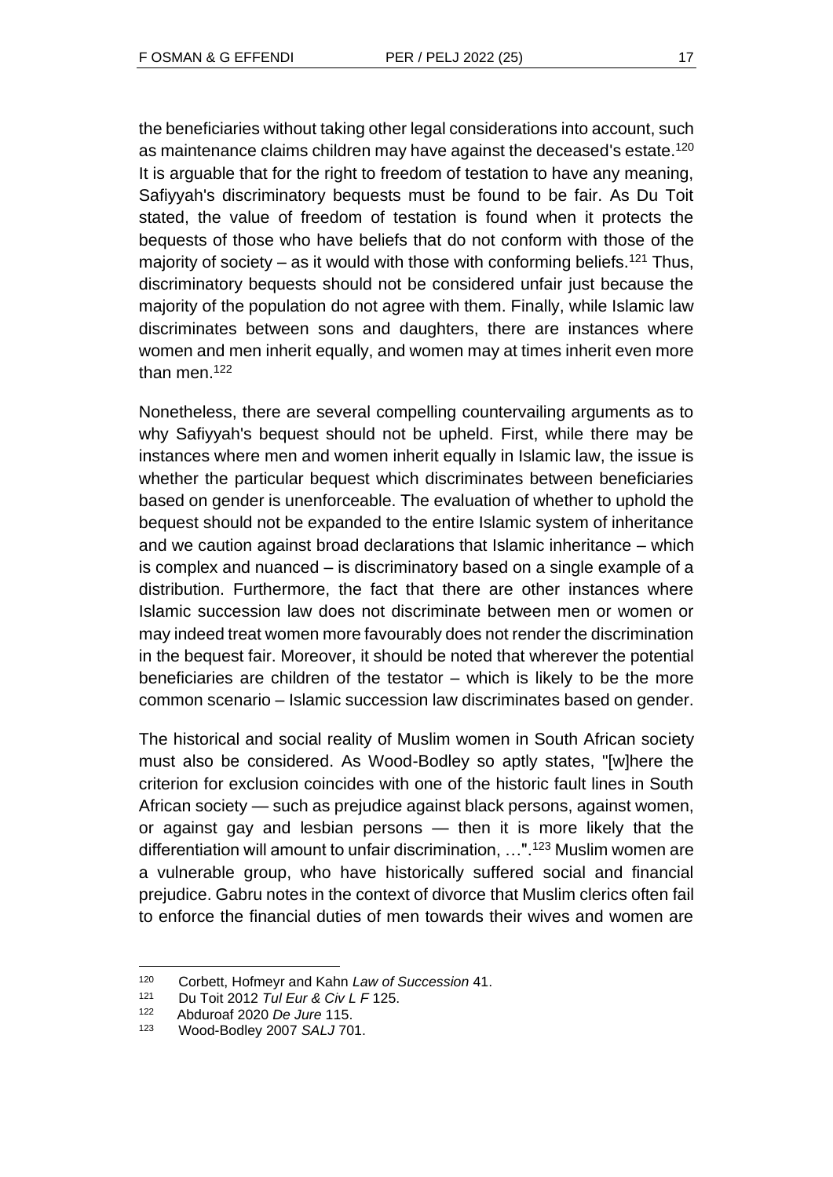the beneficiaries without taking other legal considerations into account, such as maintenance claims children may have against the deceased's estate.<sup>120</sup> It is arguable that for the right to freedom of testation to have any meaning, Safiyyah's discriminatory bequests must be found to be fair. As Du Toit stated, the value of freedom of testation is found when it protects the bequests of those who have beliefs that do not conform with those of the majority of society – as it would with those with conforming beliefs.<sup>121</sup> Thus, discriminatory bequests should not be considered unfair just because the majority of the population do not agree with them. Finally, while Islamic law discriminates between sons and daughters, there are instances where women and men inherit equally, and women may at times inherit even more than men $122$ 

Nonetheless, there are several compelling countervailing arguments as to why Safiyyah's bequest should not be upheld. First, while there may be instances where men and women inherit equally in Islamic law, the issue is whether the particular bequest which discriminates between beneficiaries based on gender is unenforceable. The evaluation of whether to uphold the bequest should not be expanded to the entire Islamic system of inheritance and we caution against broad declarations that Islamic inheritance – which is complex and nuanced – is discriminatory based on a single example of a distribution. Furthermore, the fact that there are other instances where Islamic succession law does not discriminate between men or women or may indeed treat women more favourably does not render the discrimination in the bequest fair. Moreover, it should be noted that wherever the potential beneficiaries are children of the testator – which is likely to be the more common scenario – Islamic succession law discriminates based on gender.

The historical and social reality of Muslim women in South African society must also be considered. As Wood-Bodley so aptly states, "[w]here the criterion for exclusion coincides with one of the historic fault lines in South African society — such as prejudice against black persons, against women, or against gay and lesbian persons — then it is more likely that the differentiation will amount to unfair discrimination, …".<sup>123</sup> Muslim women are a vulnerable group, who have historically suffered social and financial prejudice. Gabru notes in the context of divorce that Muslim clerics often fail to enforce the financial duties of men towards their wives and women are

<sup>120</sup> Corbett, Hofmeyr and Kahn *Law of Succession* 41.

<sup>121</sup> Du Toit 2012 *Tul Eur & Civ L F* 125.

<sup>122</sup> Abduroaf 2020 *De Jure* 115.

<sup>123</sup> Wood-Bodley 2007 *SALJ* 701.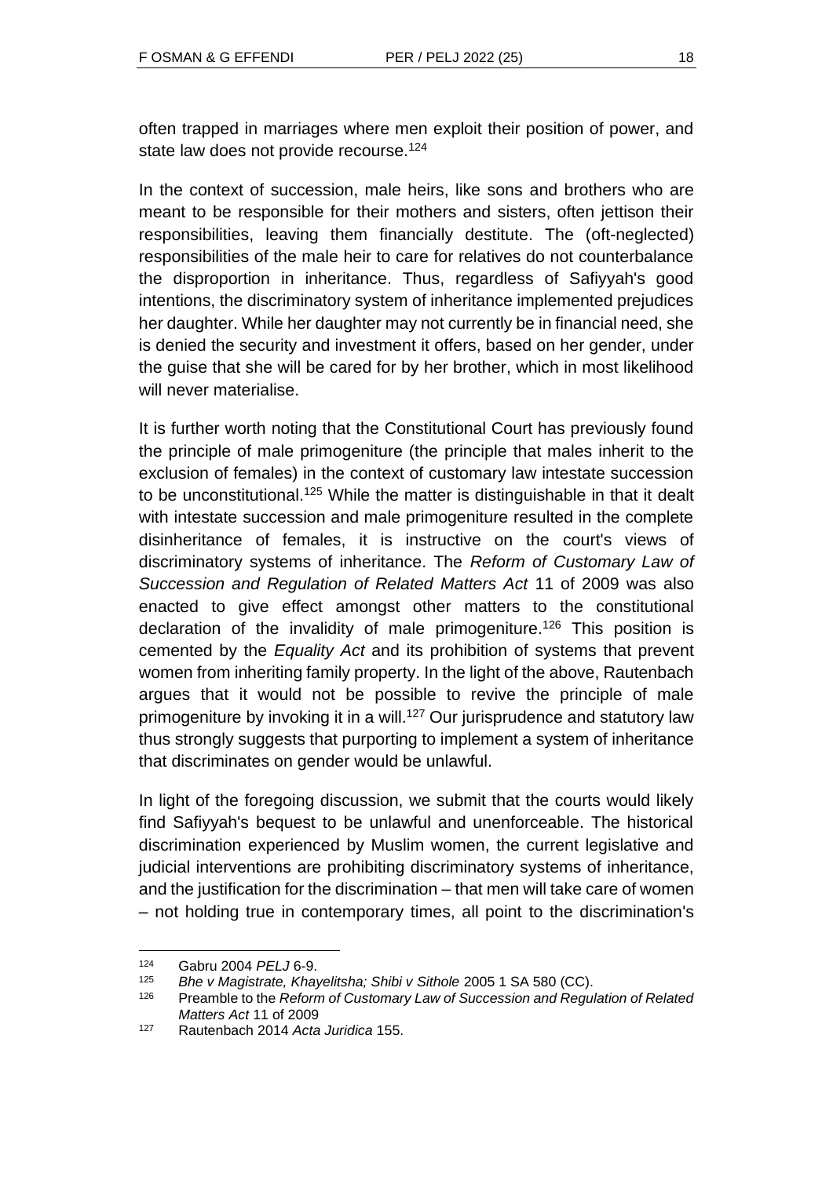often trapped in marriages where men exploit their position of power, and state law does not provide recourse.<sup>124</sup>

In the context of succession, male heirs, like sons and brothers who are meant to be responsible for their mothers and sisters, often jettison their responsibilities, leaving them financially destitute. The (oft-neglected) responsibilities of the male heir to care for relatives do not counterbalance the disproportion in inheritance. Thus, regardless of Safiyyah's good intentions, the discriminatory system of inheritance implemented prejudices her daughter. While her daughter may not currently be in financial need, she is denied the security and investment it offers, based on her gender, under the guise that she will be cared for by her brother, which in most likelihood will never materialise.

It is further worth noting that the Constitutional Court has previously found the principle of male primogeniture (the principle that males inherit to the exclusion of females) in the context of customary law intestate succession to be unconstitutional.<sup>125</sup> While the matter is distinguishable in that it dealt with intestate succession and male primogeniture resulted in the complete disinheritance of females, it is instructive on the court's views of discriminatory systems of inheritance. The *Reform of Customary Law of Succession and Regulation of Related Matters Act* 11 of 2009 was also enacted to give effect amongst other matters to the constitutional declaration of the invalidity of male primogeniture.<sup>126</sup> This position is cemented by the *Equality Act* and its prohibition of systems that prevent women from inheriting family property. In the light of the above, Rautenbach argues that it would not be possible to revive the principle of male primogeniture by invoking it in a will.<sup>127</sup> Our jurisprudence and statutory law thus strongly suggests that purporting to implement a system of inheritance that discriminates on gender would be unlawful.

In light of the foregoing discussion, we submit that the courts would likely find Safiyyah's bequest to be unlawful and unenforceable. The historical discrimination experienced by Muslim women, the current legislative and judicial interventions are prohibiting discriminatory systems of inheritance, and the justification for the discrimination – that men will take care of women – not holding true in contemporary times, all point to the discrimination's

<sup>124</sup> Gabru 2004 *PELJ* 6-9.

<sup>125</sup> *Bhe v Magistrate, Khayelitsha; Shibi v Sithole* 2005 1 SA 580 (CC).

<sup>126</sup> Preamble to the *Reform of Customary Law of Succession and Regulation of Related Matters Act* 11 of 2009

<sup>127</sup> Rautenbach 2014 *Acta Juridica* 155.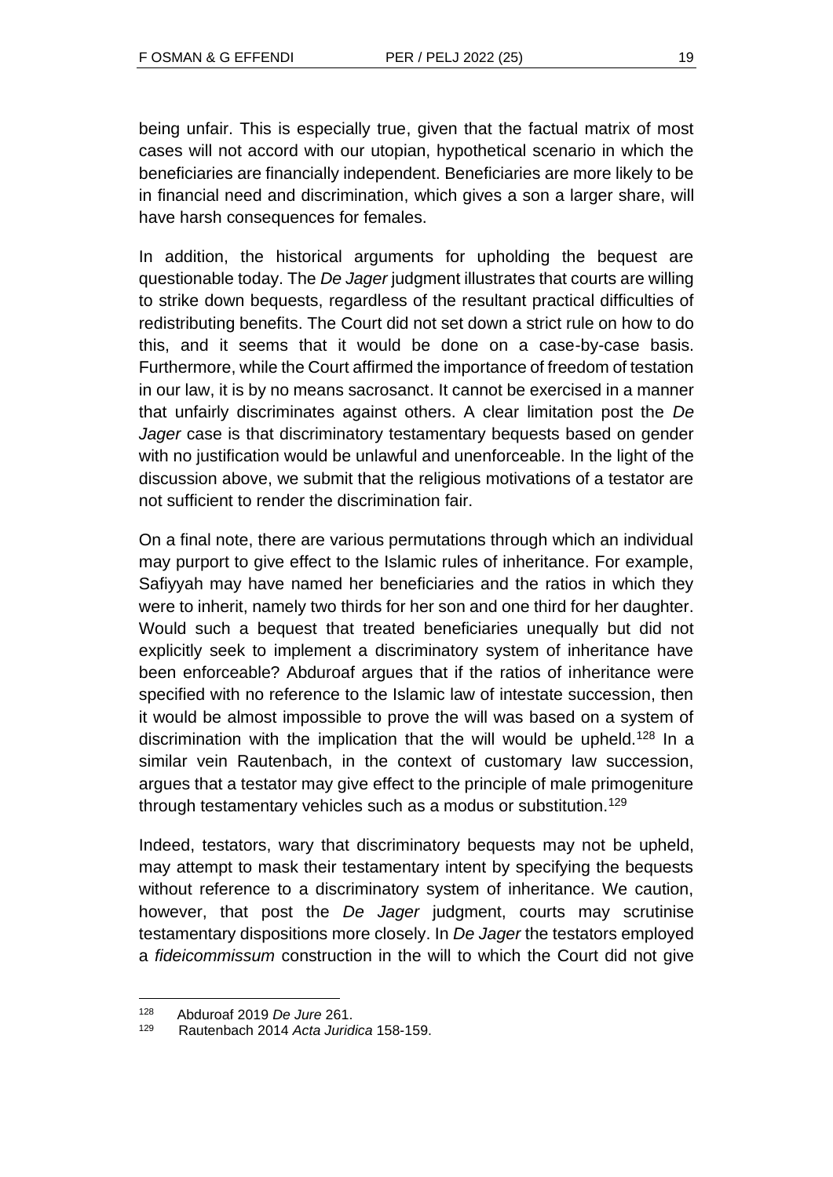being unfair. This is especially true, given that the factual matrix of most cases will not accord with our utopian, hypothetical scenario in which the beneficiaries are financially independent. Beneficiaries are more likely to be in financial need and discrimination, which gives a son a larger share, will have harsh consequences for females.

In addition, the historical arguments for upholding the bequest are questionable today. The *De Jager* judgment illustrates that courts are willing to strike down bequests, regardless of the resultant practical difficulties of redistributing benefits. The Court did not set down a strict rule on how to do this, and it seems that it would be done on a case-by-case basis. Furthermore, while the Court affirmed the importance of freedom of testation in our law, it is by no means sacrosanct. It cannot be exercised in a manner that unfairly discriminates against others. A clear limitation post the *De Jager* case is that discriminatory testamentary bequests based on gender with no justification would be unlawful and unenforceable. In the light of the discussion above, we submit that the religious motivations of a testator are not sufficient to render the discrimination fair.

On a final note, there are various permutations through which an individual may purport to give effect to the Islamic rules of inheritance. For example, Safiyyah may have named her beneficiaries and the ratios in which they were to inherit, namely two thirds for her son and one third for her daughter. Would such a bequest that treated beneficiaries unequally but did not explicitly seek to implement a discriminatory system of inheritance have been enforceable? Abduroaf argues that if the ratios of inheritance were specified with no reference to the Islamic law of intestate succession, then it would be almost impossible to prove the will was based on a system of discrimination with the implication that the will would be upheld.<sup>128</sup> In a similar vein Rautenbach, in the context of customary law succession, argues that a testator may give effect to the principle of male primogeniture through testamentary vehicles such as a modus or substitution.<sup>129</sup>

Indeed, testators, wary that discriminatory bequests may not be upheld, may attempt to mask their testamentary intent by specifying the bequests without reference to a discriminatory system of inheritance. We caution, however, that post the *De Jager* judgment, courts may scrutinise testamentary dispositions more closely. In *De Jager* the testators employed a *fideicommissum* construction in the will to which the Court did not give

<sup>128</sup> Abduroaf 2019 *De Jure* 261.

<sup>129</sup> Rautenbach 2014 *Acta Juridica* 158-159.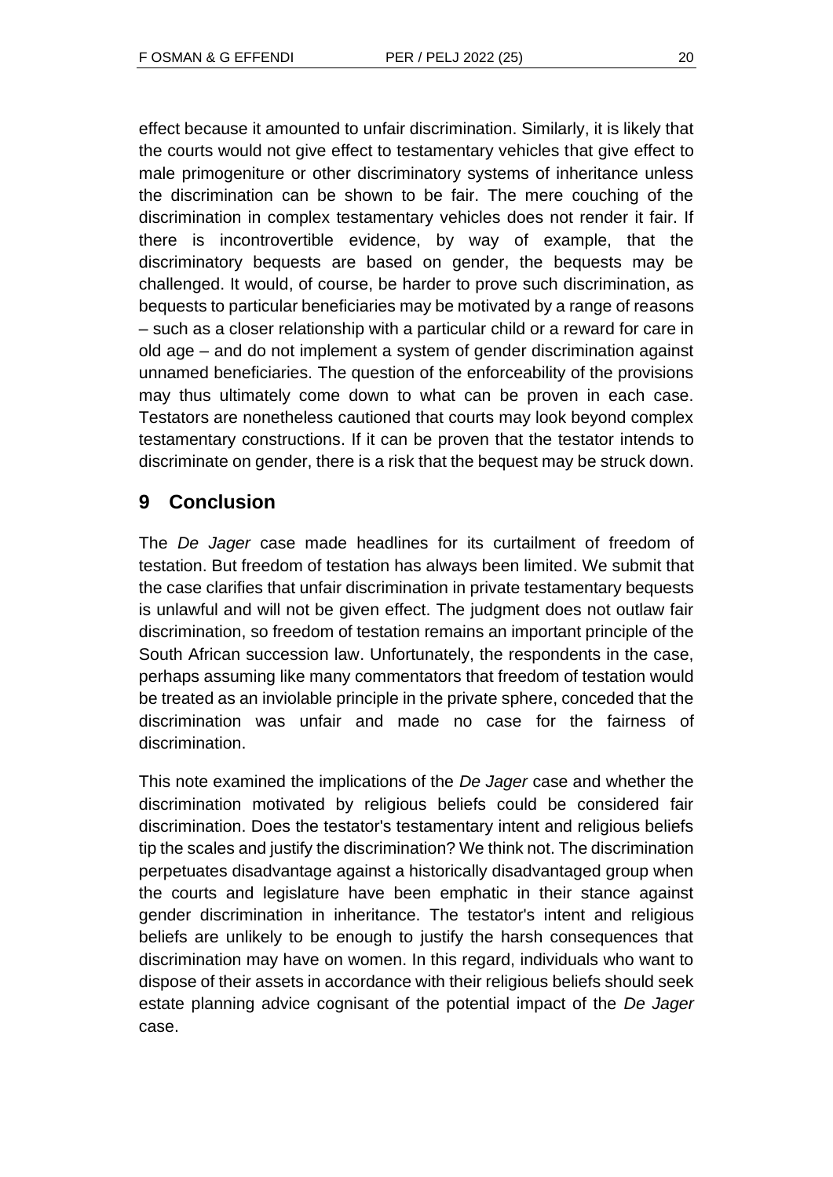effect because it amounted to unfair discrimination. Similarly, it is likely that the courts would not give effect to testamentary vehicles that give effect to male primogeniture or other discriminatory systems of inheritance unless the discrimination can be shown to be fair. The mere couching of the discrimination in complex testamentary vehicles does not render it fair. If there is incontrovertible evidence, by way of example, that the discriminatory bequests are based on gender, the bequests may be challenged. It would, of course, be harder to prove such discrimination, as bequests to particular beneficiaries may be motivated by a range of reasons – such as a closer relationship with a particular child or a reward for care in old age – and do not implement a system of gender discrimination against unnamed beneficiaries. The question of the enforceability of the provisions may thus ultimately come down to what can be proven in each case. Testators are nonetheless cautioned that courts may look beyond complex testamentary constructions. If it can be proven that the testator intends to discriminate on gender, there is a risk that the bequest may be struck down.

# **9 Conclusion**

The *De Jager* case made headlines for its curtailment of freedom of testation. But freedom of testation has always been limited. We submit that the case clarifies that unfair discrimination in private testamentary bequests is unlawful and will not be given effect. The judgment does not outlaw fair discrimination, so freedom of testation remains an important principle of the South African succession law. Unfortunately, the respondents in the case, perhaps assuming like many commentators that freedom of testation would be treated as an inviolable principle in the private sphere, conceded that the discrimination was unfair and made no case for the fairness of discrimination.

This note examined the implications of the *De Jager* case and whether the discrimination motivated by religious beliefs could be considered fair discrimination. Does the testator's testamentary intent and religious beliefs tip the scales and justify the discrimination? We think not. The discrimination perpetuates disadvantage against a historically disadvantaged group when the courts and legislature have been emphatic in their stance against gender discrimination in inheritance. The testator's intent and religious beliefs are unlikely to be enough to justify the harsh consequences that discrimination may have on women. In this regard, individuals who want to dispose of their assets in accordance with their religious beliefs should seek estate planning advice cognisant of the potential impact of the *De Jager* case.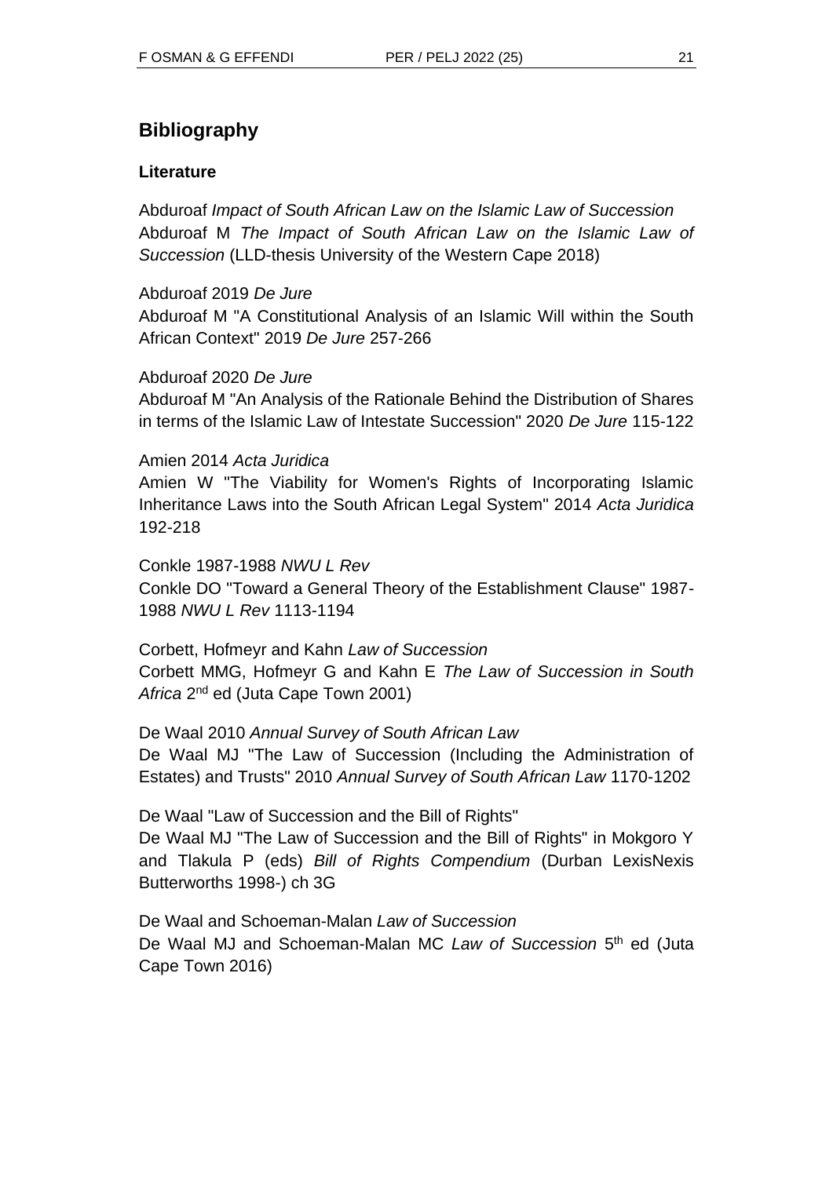# **Bibliography**

## **Literature**

Abduroaf *Impact of South African Law on the Islamic Law of Succession* Abduroaf M *The Impact of South African Law on the Islamic Law of Succession* (LLD-thesis University of the Western Cape 2018)

Abduroaf 2019 *De Jure*

Abduroaf M "A Constitutional Analysis of an Islamic Will within the South African Context" 2019 *De Jure* 257-266

### Abduroaf 2020 *De Jure*

Abduroaf M "An Analysis of the Rationale Behind the Distribution of Shares in terms of the Islamic Law of Intestate Succession" 2020 *De Jure* 115-122

### Amien 2014 *Acta Juridica*

Amien W "The Viability for Women's Rights of Incorporating Islamic Inheritance Laws into the South African Legal System" 2014 *Acta Juridica* 192-218

Conkle 1987-1988 *NWU L Rev*

Conkle DO "Toward a General Theory of the Establishment Clause" 1987- 1988 *NWU L Rev* 1113-1194

Corbett, Hofmeyr and Kahn *Law of Succession* Corbett MMG, Hofmeyr G and Kahn E *The Law of Succession in South*  Africa 2<sup>nd</sup> ed (Juta Cape Town 2001)

De Waal 2010 *Annual Survey of South African Law*

De Waal MJ "The Law of Succession (Including the Administration of Estates) and Trusts" 2010 *Annual Survey of South African Law* 1170-1202

De Waal "Law of Succession and the Bill of Rights"

De Waal MJ "The Law of Succession and the Bill of Rights" in Mokgoro Y and Tlakula P (eds) *Bill of Rights Compendium* (Durban LexisNexis Butterworths 1998-) ch 3G

De Waal and Schoeman-Malan *Law of Succession* De Waal MJ and Schoeman-Malan MC Law of Succession 5<sup>th</sup> ed (Juta Cape Town 2016)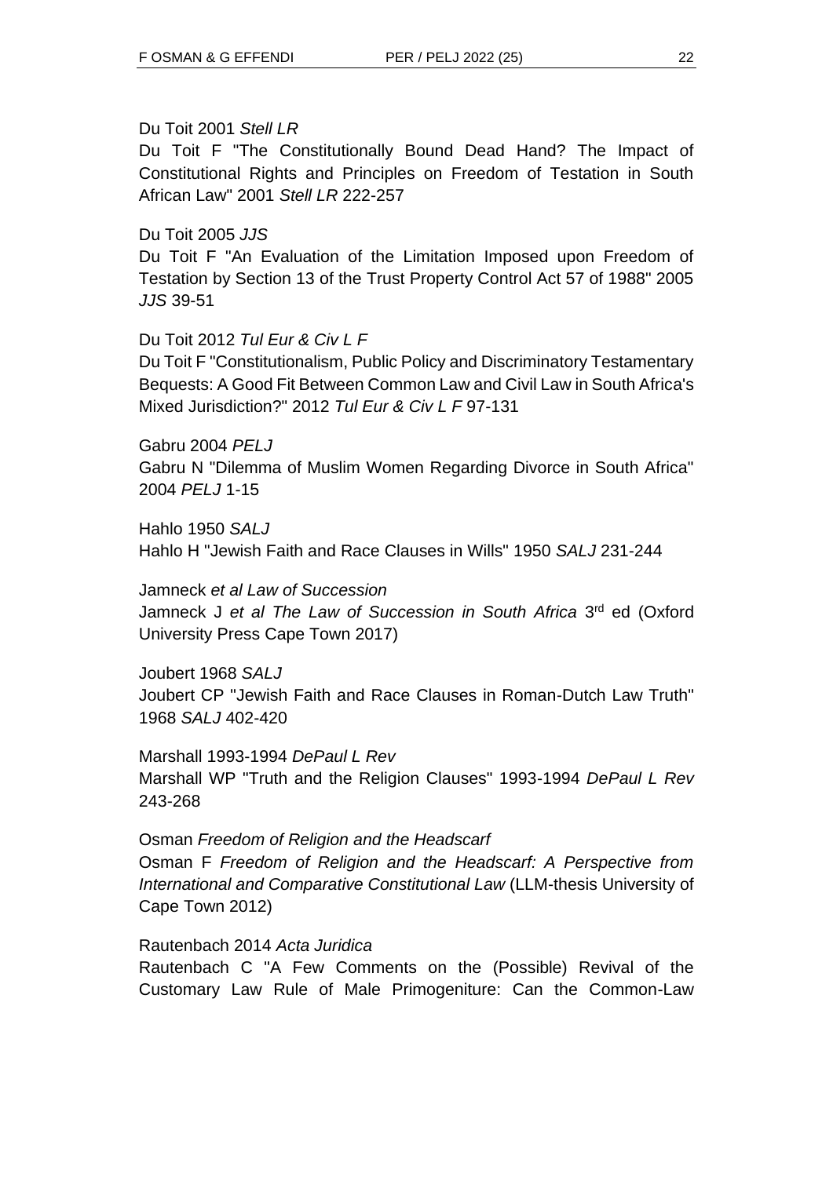Du Toit 2001 *Stell LR*

Du Toit F "The Constitutionally Bound Dead Hand? The Impact of Constitutional Rights and Principles on Freedom of Testation in South African Law" 2001 *Stell LR* 222-257

Du Toit 2005 *JJS*

Du Toit F "An Evaluation of the Limitation Imposed upon Freedom of Testation by Section 13 of the Trust Property Control Act 57 of 1988" 2005 *JJS* 39-51

Du Toit 2012 *Tul Eur & Civ L F*

Du Toit F "Constitutionalism, Public Policy and Discriminatory Testamentary Bequests: A Good Fit Between Common Law and Civil Law in South Africa's Mixed Jurisdiction?" 2012 *Tul Eur & Civ L F* 97-131

Gabru 2004 *PELJ* Gabru N "Dilemma of Muslim Women Regarding Divorce in South Africa" 2004 *PELJ* 1-15

Hahlo 1950 *SALJ* Hahlo H "Jewish Faith and Race Clauses in Wills" 1950 *SALJ* 231-244

Jamneck *et al Law of Succession* Jamneck J et al The Law of Succession in South Africa 3<sup>rd</sup> ed (Oxford University Press Cape Town 2017)

Joubert 1968 *SALJ* Joubert CP "Jewish Faith and Race Clauses in Roman-Dutch Law Truth" 1968 *SALJ* 402-420

Marshall 1993-1994 *DePaul L Rev* Marshall WP "Truth and the Religion Clauses" 1993-1994 *DePaul L Rev* 243-268

Osman *Freedom of Religion and the Headscarf* Osman F *Freedom of Religion and the Headscarf: A Perspective from International and Comparative Constitutional Law* (LLM-thesis University of Cape Town 2012)

Rautenbach 2014 *Acta Juridica*

Rautenbach C "A Few Comments on the (Possible) Revival of the Customary Law Rule of Male Primogeniture: Can the Common-Law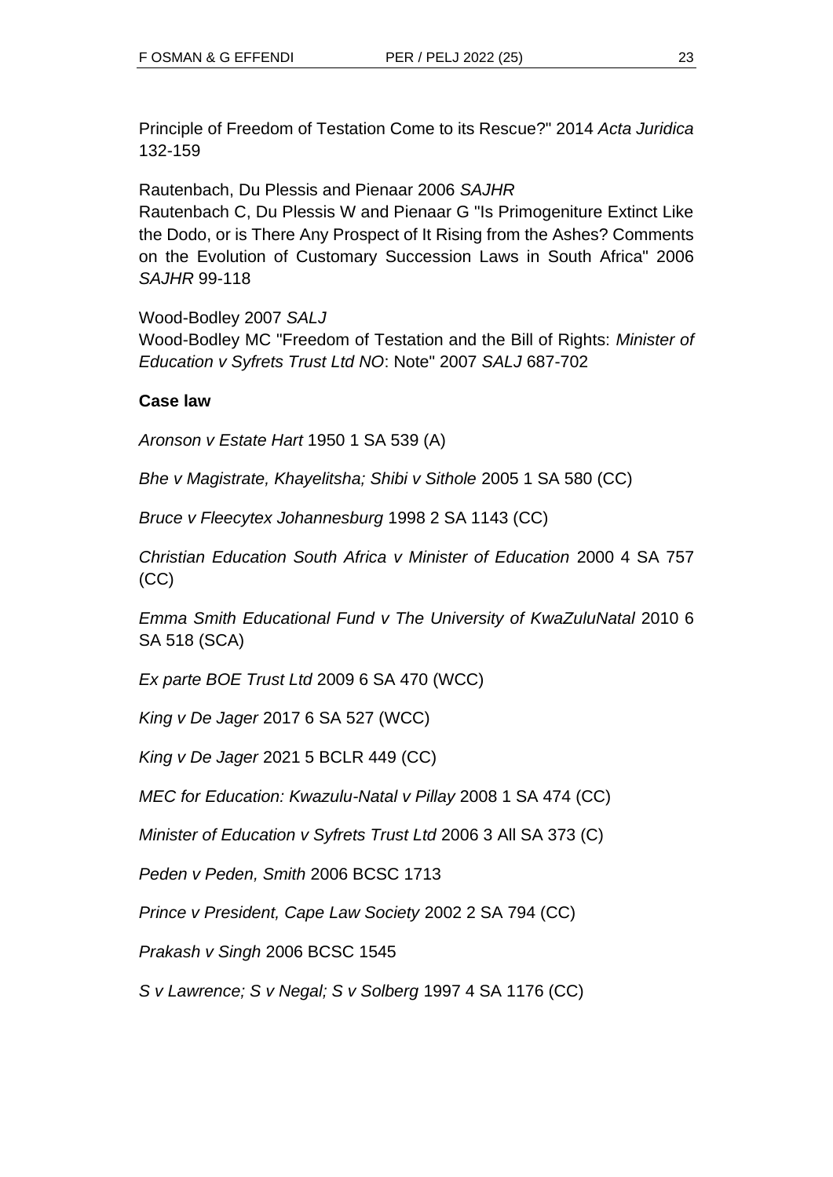Principle of Freedom of Testation Come to its Rescue?" 2014 *Acta Juridica* 132-159

Rautenbach, Du Plessis and Pienaar 2006 *SAJHR*

Rautenbach C, Du Plessis W and Pienaar G "Is Primogeniture Extinct Like the Dodo, or is There Any Prospect of It Rising from the Ashes? Comments on the Evolution of Customary Succession Laws in South Africa" 2006 *SAJHR* 99-118

Wood-Bodley 2007 *SALJ*

Wood-Bodley MC "Freedom of Testation and the Bill of Rights: *Minister of Education v Syfrets Trust Ltd NO*: Note" 2007 *SALJ* 687-702

## **Case law**

*Aronson v Estate Hart* 1950 1 SA 539 (A)

*Bhe v Magistrate, Khayelitsha; Shibi v Sithole* 2005 1 SA 580 (CC)

*Bruce v Fleecytex Johannesburg* 1998 2 SA 1143 (CC)

*Christian Education South Africa v Minister of Education* 2000 4 SA 757 (CC)

*Emma Smith Educational Fund v The University of KwaZuluNatal* 2010 6 SA 518 (SCA)

*Ex parte BOE Trust Ltd* 2009 6 SA 470 (WCC)

*King v De Jager* 2017 6 SA 527 (WCC)

*King v De Jager* 2021 5 BCLR 449 (CC)

*MEC for Education: Kwazulu-Natal v Pillay* 2008 1 SA 474 (CC)

*Minister of Education v Syfrets Trust Ltd* 2006 3 All SA 373 (C)

*Peden v Peden, Smith* 2006 BCSC 1713

*Prince v President, Cape Law Society* 2002 2 SA 794 (CC)

*Prakash v Singh* 2006 BCSC 1545

*S v Lawrence; S v Negal; S v Solberg* 1997 4 SA 1176 (CC)